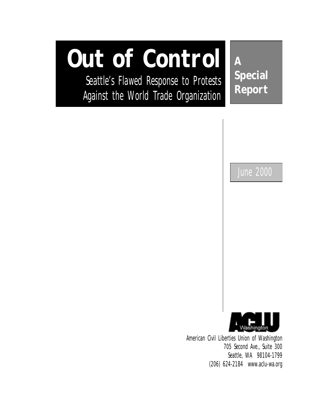# **Out of Control**

Seattle's Flawed Response to Protests Against the World Trade Organization

**A Special Report**

June 2000



American Civil Liberties Union of Washington 705 Second Ave., Suite 300 Seattle, WA 98104-1799 (206) 624-2184 www.aclu-wa.org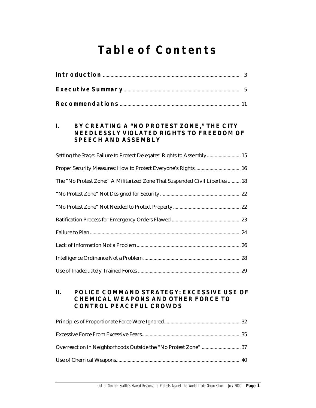# **Table of Contents**

| BY CREATING A "NO PROTEST ZONE," THE CITY<br>$\mathbf{I}$ .<br><b>NEEDLESSLY VIOLATED RIGHTS TO FREEDOM OF</b><br><b>SPEECH AND ASSEMBLY</b> |
|----------------------------------------------------------------------------------------------------------------------------------------------|
| Setting the Stage: Failure to Protect Delegates' Rights to Assembly 15                                                                       |
| Proper Security Measures: How to Protect Everyone's Rights 16                                                                                |
| The "No Protest Zone:" A Militarized Zone That Suspended Civil Liberties  18                                                                 |
|                                                                                                                                              |
|                                                                                                                                              |
|                                                                                                                                              |
|                                                                                                                                              |
|                                                                                                                                              |
|                                                                                                                                              |
|                                                                                                                                              |

#### **II. POLICE COMMAND STRATEGY: EXCESSIVE USE OF CHEMICAL WEAPONS AND OTHER FORCE TO CONTROL PEACEFUL CROWDS**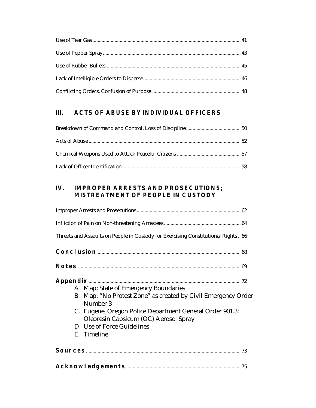# **III. ACTS OF ABUSE BY INDIVIDUAL OFFICERS**

#### **IV. IMPROPER ARRESTS AND PROSECUTIONS; MISTREATMENT OF PEOPLE IN CUSTODY**

| Threats and Assaults on People in Custody for Exercising Constitutional Rights  66                                                                                                                                                                                   |
|----------------------------------------------------------------------------------------------------------------------------------------------------------------------------------------------------------------------------------------------------------------------|
|                                                                                                                                                                                                                                                                      |
|                                                                                                                                                                                                                                                                      |
| A. Map: State of Emergency Boundaries<br>B. Map: "No Protest Zone" as created by Civil Emergency Order<br>Number 3<br>C. Eugene, Oregon Police Department General Order 901.3:<br>Oleoresin Capsicum (OC) Aerosol Spray<br>D. Use of Force Guidelines<br>E. Timeline |
|                                                                                                                                                                                                                                                                      |
|                                                                                                                                                                                                                                                                      |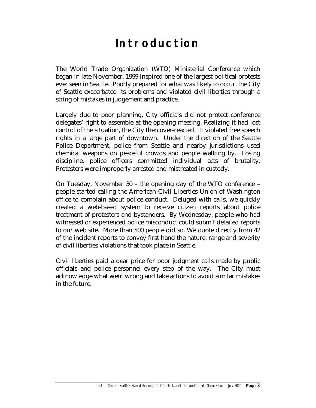# **Introduction**

The World Trade Organization (WTO) Ministerial Conference which began in late November, 1999 inspired one of the largest political protests ever seen in Seattle. Poorly prepared for what was likely to occur, the City of Seattle exacerbated its problems and violated civil liberties through a string of mistakes in judgement and practice.

Largely due to poor planning, City officials did not protect conference delegates' right to assemble at the opening meeting. Realizing it had lost control of the situation, the City then over-reacted. It violated free speech rights in a large part of downtown. Under the direction of the Seattle Police Department, police from Seattle and nearby jurisdictions used chemical weapons on peaceful crowds and people walking by. Losing discipline, police officers committed individual acts of brutality. Protesters were improperly arrested and mistreated in custody.

On Tuesday, November 30 – the opening day of the WTO conference – people started calling the American Civil Liberties Union of Washington office to complain about police conduct. Deluged with calls, we quickly created a web-based system to receive citizen reports about police treatment of protesters and bystanders. By Wednesday, people who had witnessed or experienced police misconduct could submit detailed reports to our web site. More than 500 people did so. We quote directly from 42 of the incident reports to convey first hand the nature, range and severity of civil liberties violations that took place in Seattle.

Civil liberties paid a dear price for poor judgment calls made by public officials and police personnel every step of the way. The City must acknowledge what went wrong and take actions to avoid similar mistakes in the future.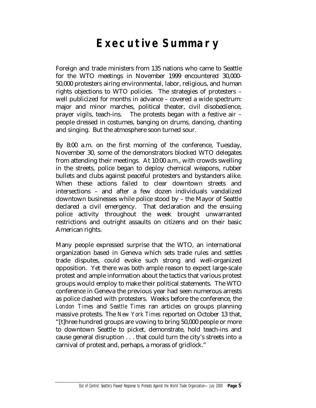# **Executive Summary**

Foreign and trade ministers from 135 nations who came to Seattle for the WTO meetings in November 1999 encountered 30,000- 50,000 protesters airing environmental, labor, religious, and human rights objections to WTO policies. The strategies of protesters – well publicized for months in advance – covered a wide spectrum: major and minor marches, political theater, civil disobedience, prayer vigils, teach-ins. The protests began with a festive air – people dressed in costumes, banging on drums, dancing, chanting and singing. But the atmosphere soon turned sour.

By 8:00 a.m. on the first morning of the conference, Tuesday, November 30, some of the demonstrators blocked WTO delegates from attending their meetings. At 10:00 a.m., with crowds swelling in the streets, police began to deploy chemical weapons, rubber bullets and clubs against peaceful protesters and bystanders alike. When these actions failed to clear downtown streets and intersections – and after a few dozen individuals vandalized downtown businesses while police stood by – the Mayor of Seattle declared a civil emergency. That declaration and the ensuing police activity throughout the week brought unwarranted restrictions and outright assaults on citizens and on their basic American rights.

Many people expressed surprise that the WTO, an international organization based in Geneva which sets trade rules and settles trade disputes, could evoke such strong and well-organized opposition. Yet there was both ample reason to expect large-scale protest and ample information about the tactics that various protest groups would employ to make their political statements. The WTO conference in Geneva the previous year had seen numerous arrests as police clashed with protesters. Weeks before the conference, the *London Times* and *Seattle Times* ran articles on groups planning massive protests. The *New York Times* reported on October 13 that, "[t]hree hundred groups are vowing to bring 50,000 people or more to downtown Seattle to picket, demonstrate, hold teach-ins and cause general disruption . . . that could turn the city's streets into a carnival of protest and, perhaps, a morass of gridlock."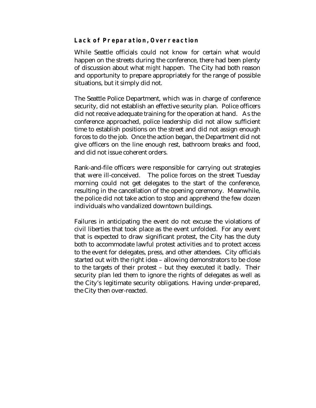#### **Lack of Preparation, Overreaction**

While Seattle officials could not know for certain what would happen on the streets during the conference, there had been plenty of discussion about what *might* happen. The City had both reason and opportunity to prepare appropriately for the range of possible situations, but it simply did not.

The Seattle Police Department, which was in charge of conference security, did not establish an effective security plan. Police officers did not receive adequate training for the operation at hand. As the conference approached, police leadership did not allow sufficient time to establish positions on the street and did not assign enough forces to do the job. Once the action began, the Department did not give officers on the line enough rest, bathroom breaks and food, and did not issue coherent orders.

Rank-and-file officers were responsible for carrying out strategies that were ill-conceived. The police forces on the street Tuesday morning could not get delegates to the start of the conference, resulting in the cancellation of the opening ceremony. Meanwhile, the police did not take action to stop and apprehend the few dozen individuals who vandalized downtown buildings.

Failures in anticipating the event do not excuse the violations of civil liberties that took place as the event unfolded. For any event that is expected to draw significant protest, the City has the duty both to accommodate lawful protest activities *and* to protect access to the event for delegates, press, and other attendees. City officials started out with the right idea – allowing demonstrators to be close to the targets of their protest – but they executed it badly. Their security plan led them to ignore the rights of delegates as well as the City's legitimate security obligations. Having under-prepared, the City then over-reacted.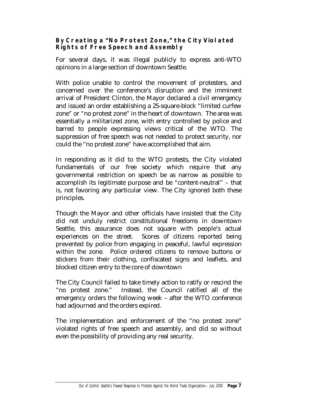## **By Creating a "No Protest Zone," the City Violated Rights of Free Speech and Assembly**

For several days, it was illegal publicly to express anti-WTO opinions in a large section of downtown Seattle.

With police unable to control the movement of protesters, and concerned over the conference's disruption and the imminent arrival of President Clinton, the Mayor declared a civil emergency and issued an order establishing a 25-square-block "limited curfew zone" or "no protest zone" in the heart of downtown. The area was essentially a militarized zone, with entry controlled by police and barred to people expressing views critical of the WTO. The suppression of free speech was not needed to protect security, nor could the "no protest zone" have accomplished that aim.

In responding as it did to the WTO protests, the City violated fundamentals of our free society which require that any governmental restriction on speech be as narrow as possible to accomplish its legitimate purpose and be "content-neutral" – that is, not favoring any particular view. The City ignored both these principles.

Though the Mayor and other officials have insisted that the City did not unduly restrict constitutional freedoms in downtown Seattle, this assurance does not square with people's actual experiences on the street. Scores of citizens reported being prevented by police from engaging in peaceful, lawful expression within the zone. Police ordered citizens to remove buttons or stickers from their clothing, confiscated signs and leaflets, and blocked citizen entry to the core of downtown

The City Council failed to take timely action to ratify or rescind the "no protest zone." Instead, the Council ratified all of the emergency orders the following week – after the WTO conference had adjourned and the orders expired.

The implementation and enforcement of the "no protest zone" violated rights of free speech and assembly, and did so without even the possibility of providing any real security.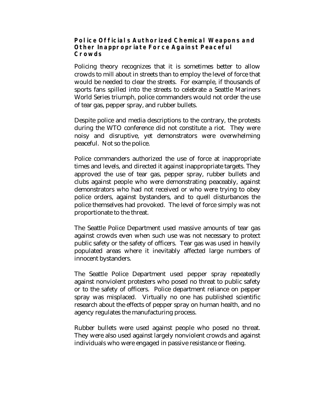#### **Police Officials Authorized Chemical Weapons and Other Inappropriate Force Against Peaceful Crowds**

Policing theory recognizes that it is sometimes better to allow crowds to mill about in streets than to employ the level of force that would be needed to clear the streets. For example, if thousands of sports fans spilled into the streets to celebrate a Seattle Mariners World Series triumph, police commanders would not order the use of tear gas, pepper spray, and rubber bullets.

Despite police and media descriptions to the contrary, the protests during the WTO conference did not constitute a riot. They were noisy and disruptive, yet demonstrators were overwhelming peaceful. Not so the police.

Police commanders authorized the use of force at inappropriate times and levels, and directed it against inappropriate targets. They approved the use of tear gas, pepper spray, rubber bullets and clubs against people who were demonstrating peaceably, against demonstrators who had not received or who were trying to obey police orders, against bystanders, and to quell disturbances the police themselves had provoked. The level of force simply was not proportionate to the threat.

The Seattle Police Department used massive amounts of tear gas against crowds even when such use was not necessary to protect public safety or the safety of officers. Tear gas was used in heavily populated areas where it inevitably affected large numbers of innocent bystanders.

The Seattle Police Department used pepper spray repeatedly against nonviolent protesters who posed no threat to public safety or to the safety of officers. Police department reliance on pepper spray was misplaced. Virtually no one has published scientific research about the effects of pepper spray on human health, and no agency regulates the manufacturing process.

Rubber bullets were used against people who posed no threat. They were also used against largely nonviolent crowds and against individuals who were engaged in passive resistance or fleeing.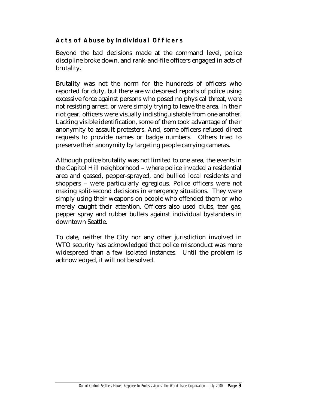# **Acts of Abuse by Individual Officers**

Beyond the bad decisions made at the command level, police discipline broke down, and rank-and-file officers engaged in acts of brutality.

Brutality was not the norm for the hundreds of officers who reported for duty, but there are widespread reports of police using excessive force against persons who posed no physical threat, were not resisting arrest, or were simply trying to leave the area. In their riot gear, officers were visually indistinguishable from one another. Lacking visible identification, some of them took advantage of their anonymity to assault protesters. And, some officers refused direct requests to provide names or badge numbers. Others tried to preserve their anonymity by targeting people carrying cameras.

Although police brutality was not limited to one area, the events in the Capitol Hill neighborhood – where police invaded a residential area and gassed, pepper-sprayed, and bullied local residents and shoppers – were particularly egregious. Police officers were not making split-second decisions in emergency situations. They were simply using their weapons on people who offended them or who merely caught their attention. Officers also used clubs, tear gas, pepper spray and rubber bullets against individual bystanders in downtown Seattle.

To date, neither the City nor any other jurisdiction involved in WTO security has acknowledged that police misconduct was more widespread than a few isolated instances. Until the problem is acknowledged, it will not be solved.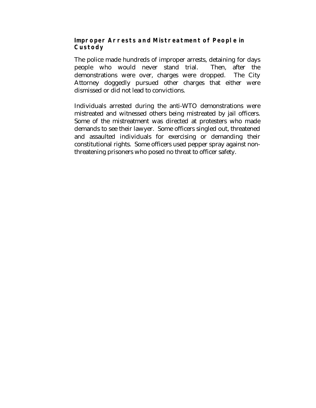#### **Improper Arrests and Mistreatment of People in Custody**

The police made hundreds of improper arrests, detaining for days people who would never stand trial. Then, after the demonstrations were over, charges were dropped. The City Attorney doggedly pursued other charges that either were dismissed or did not lead to convictions.

Individuals arrested during the anti-WTO demonstrations were mistreated and witnessed others being mistreated by jail officers. Some of the mistreatment was directed at protesters who made demands to see their lawyer. Some officers singled out, threatened and assaulted individuals for exercising or demanding their constitutional rights. Some officers used pepper spray against nonthreatening prisoners who posed no threat to officer safety.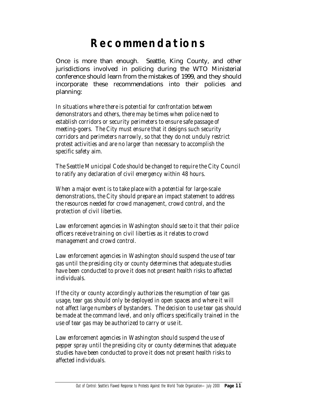# **Recommendations**

Once is more than enough. Seattle, King County, and other jurisdictions involved in policing during the WTO Ministerial conference should learn from the mistakes of 1999, and they should incorporate these recommendations into their policies and planning:

*In situations where there is potential for confrontation between demonstrators and others, there may be times when police need to establish corridors or security perimeters to ensure safe passage of meeting-goers. The City must ensure that it designs such security corridors and perimeters narrowly, so that they do not unduly restrict protest activities and are no larger than necessary to accomplish the specific safety aim.* 

*The Seattle Municipal Code should be changed to require the City Council to ratify any declaration of civil emergency within 48 hours.* 

*When a major event is to take place with a potential for large-scale demonstrations, the City should prepare an impact statement to address the resources needed for crowd management, crowd control, and the protection of civil liberties.* 

*Law enforcement agencies in Washington should see to it that their police officers receive training on civil liberties as it relates to crowd management and crowd control.* 

*Law enforcement agencies in Washington should suspend the use of tear gas until the presiding city or county determines that adequate studies have been conducted to prove it does not present health risks to affected individuals.* 

*If the city or county accordingly authorizes the resumption of tear gas usage, tear gas should only be deployed in open spaces and where it will not affect large numbers of bystanders. The decision to use tear gas should be made at the command level, and only officers specifically trained in the use of tear gas may be authorized to carry or use it.* 

*Law enforcement agencies in Washington should suspend the use of pepper spray until the presiding city or county determines that adequate studies have been conducted to prove it does not present health risks to affected individuals.*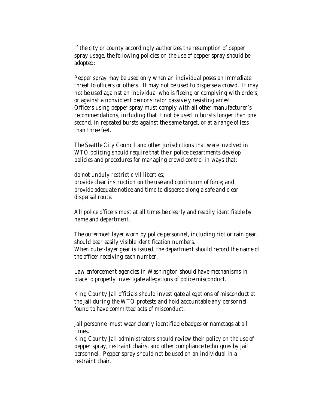*If the city or county accordingly authorizes the resumption of pepper spray usage, the following policies on the use of pepper spray should be adopted:* 

*Pepper spray may be used only when an individual poses an immediate threat to officers or others. It may not be used to disperse a crowd. It may not be used against an individual who is fleeing or complying with orders, or against a nonviolent demonstrator passively resisting arrest. Officers using pepper spray must comply with all other manufacturer's recommendations, including that it not be used in bursts longer than one second, in repeated bursts against the same target, or at a range of less than three feet.* 

*The Seattle City Council and other jurisdictions that were involved in WTO policing should require that their police departments develop policies and procedures for managing crowd control in ways that:* 

*do not unduly restrict civil liberties; provide clear instruction on the use and continuum of force; and provide adequate notice and time to disperse along a safe and clear dispersal route.* 

*All police officers must at all times be clearly and readily identifiable by name and department.* 

*The outermost layer worn by police personnel, including riot or rain gear, should bear easily visible identification numbers. When outer-layer gear is issued, the department should record the name of the officer receiving each number.* 

*Law enforcement agencies in Washington should have mechanisms in place to properly investigate allegations of police misconduct.* 

*King County Jail officials should investigate allegations of misconduct at the jail during the WTO protests and hold accountable any personnel found to have committed acts of misconduct.* 

*Jail personnel must wear clearly identifiable badges or nametags at all times.* 

*King County Jail administrators should review their policy on the use of pepper spray, restraint chairs, and other compliance techniques by jail personnel. Pepper spray should not be used on an individual in a restraint chair.*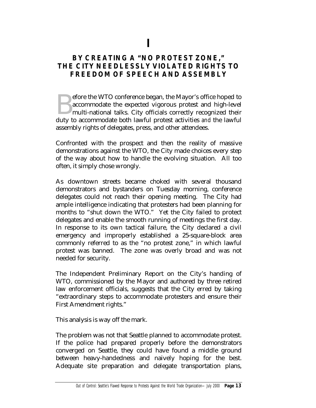**I** 

# **BY CREATING A "NO PROTEST ZONE," THE CITY NEEDLESSLY VIOLATED RIGHTS TO FREEDOM OF SPEECH AND ASSEMBLY**

efore the WTO conference began, the Mayor's office hoped to accommodate the expected vigorous protest and high-level multi-national talks. City officials correctly recognized their efore the WTO conference began, the Mayor's office hoped to accommodate the expected vigorous protest and high-level multi-national talks. City officials correctly recognized their duty to accommodate both lawful protest a assembly rights of delegates, press, and other attendees.

Confronted with the prospect and then the reality of massive demonstrations against the WTO, the City made choices every step of the way about how to handle the evolving situation. All too often, it simply chose wrongly.

As downtown streets became choked with several thousand demonstrators and bystanders on Tuesday morning, conference delegates could not reach their opening meeting. The City had ample intelligence indicating that protesters had been planning for months to "shut down the WTO." Yet the City failed to protect delegates and enable the smooth running of meetings the first day. In response to its own tactical failure, the City declared a civil emergency and improperly established a 25-square-block area commonly referred to as the "no protest zone," in which lawful protest was banned. The zone was overly broad and was not needed for security.

The Independent Preliminary Report on the City's handing of WTO, commissioned by the Mayor and authored by three retired law enforcement officials, suggests that the City erred by taking "extraordinary steps to accommodate protesters and ensure their First Amendment rights."

This analysis is way off the mark.

The problem was not that Seattle planned to accommodate protest. If the police had prepared properly before the demonstrators converged on Seattle, they could have found a middle ground between heavy-handedness and naively hoping for the best. Adequate site preparation and delegate transportation plans,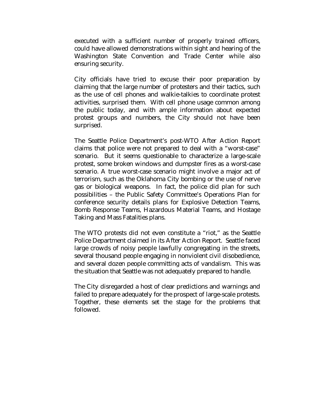executed with a sufficient number of properly trained officers, could have allowed demonstrations within sight and hearing of the Washington State Convention and Trade Center while also ensuring security.

City officials have tried to excuse their poor preparation by claiming that the large number of protesters and their tactics, such as the use of cell phones and walkie-talkies to coordinate protest activities, surprised them. With cell phone usage common among the public today, and with ample information about expected protest groups and numbers, the City should not have been surprised.

The Seattle Police Department's post-WTO After Action Report claims that police were not prepared to deal with a "worst-case" scenario. But it seems questionable to characterize a large-scale protest, some broken windows and dumpster fires as a worst-case scenario. A true worst-case scenario might involve a major act of terrorism, such as the Oklahoma City bombing or the use of nerve gas or biological weapons. In fact, the police did plan for such possibilities – the Public Safety Committee's Operations Plan for conference security details plans for Explosive Detection Teams, Bomb Response Teams, Hazardous Material Teams, and Hostage Taking and Mass Fatalities plans.

The WTO protests did not even constitute a "riot," as the Seattle Police Department claimed in its After Action Report. Seattle faced large crowds of noisy people lawfully congregating in the streets, several thousand people engaging in nonviolent civil disobedience, and several dozen people committing acts of vandalism. This was the situation that Seattle was not adequately prepared to handle.

The City disregarded a host of clear predictions and warnings and failed to prepare adequately for the prospect of large-scale protests. Together, these elements set the stage for the problems that followed.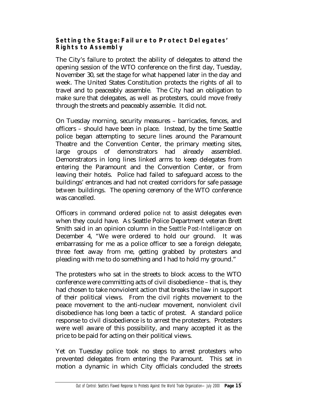## **Setting the Stage: Failure to Protect Delegates' Rights to Assembly**

The City's failure to protect the ability of delegates to attend the opening session of the WTO conference on the first day, Tuesday, November 30, set the stage for what happened later in the day and week. The United States Constitution protects the rights of all to travel and to peaceably assemble. The City had an obligation to make sure that delegates, as well as protesters, could move freely through the streets and peaceably assemble. It did not.

On Tuesday morning, security measures – barricades, fences, and officers – should have been in place. Instead, by the time Seattle police began attempting to secure lines around the Paramount Theatre and the Convention Center, the primary meeting sites, large groups of demonstrators had already assembled. Demonstrators in long lines linked arms to keep delegates from entering the Paramount and the Convention Center, or from leaving their hotels. Police had failed to safeguard access to the buildings' entrances and had not created corridors for safe passage *between* buildings. The opening ceremony of the WTO conference was cancelled.

Officers in command ordered police *not* to assist delegates even when they could have. As Seattle Police Department veteran Brett Smith said in an opinion column in the *Seattle Post-Intelligencer* on December 4, "We were ordered to hold our ground. It was embarrassing for me as a police officer to see a foreign delegate, three feet away from me, getting grabbed by protesters and pleading with me to do something and I had to hold my ground."

The protesters who sat in the streets to block access to the WTO conference were committing acts of civil disobedience – that is, they had chosen to take nonviolent action that breaks the law in support of their political views. From the civil rights movement to the peace movement to the anti-nuclear movement, nonviolent civil disobedience has long been a tactic of protest. A standard police response to civil disobedience is to arrest the protesters. Protesters were well aware of this possibility, and many accepted it as the price to be paid for acting on their political views.

Yet on Tuesday police took no steps to arrest protesters who prevented delegates from entering the Paramount. This set in motion a dynamic in which City officials concluded the streets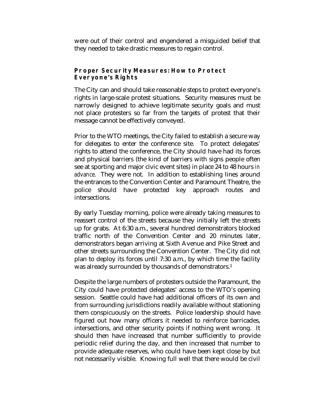were out of their control and engendered a misguided belief that they needed to take drastic measures to regain control.

#### **Proper Security Measures: How to Protect Everyone's Rights**

The City can and should take reasonable steps to protect everyone's rights in large-scale protest situations. Security measures must be narrowly designed to achieve legitimate security goals and must not place protesters so far from the targets of protest that their message cannot be effectively conveyed.

Prior to the WTO meetings, the City failed to establish a secure way for delegates to enter the conference site. To protect delegates' rights to attend the conference, the City should have had its forces and physical barriers (the kind of barriers with signs people often see at sporting and major civic event sites) in place 24 to 48 hours *in advance*. They were not. In addition to establishing lines around the entrances to the Convention Center and Paramount Theatre, the police should have protected key approach routes and intersections.

By early Tuesday morning, police were already taking measures to reassert control of the streets because they initially left the streets up for grabs. At 6:30 a.m., several hundred demonstrators blocked traffic north of the Convention Center and 20 minutes later, demonstrators began arriving at Sixth Avenue and Pike Street and other streets surrounding the Convention Center. The City did not plan to deploy its forces until 7:30 a.m., by which time the facility was already surrounded by thousands of demonstrators.1

Despite the large numbers of protesters outside the Paramount, the City could have protected delegates' access to the WTO's opening session. Seattle could have had additional officers of its own and from surrounding jurisdictions readily available without stationing them conspicuously on the streets. Police leadership should have figured out how many officers it needed to reinforce barricades, intersections, and other security points if nothing went wrong. It should then have increased that number sufficiently to provide periodic relief during the day, and then increased that number to provide adequate reserves, who could have been kept close by but not necessarily visible. Knowing full well that there would be civil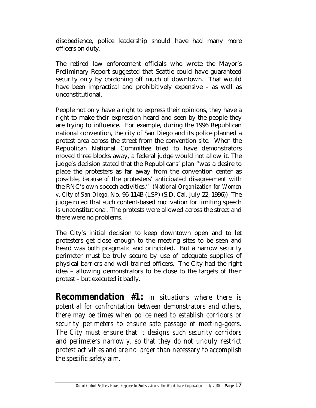disobedience, police leadership should have had many more officers on duty.

The retired law enforcement officials who wrote the Mayor's Preliminary Report suggested that Seattle could have guaranteed security only by cordoning off much of downtown. That would have been impractical and prohibitively expensive – as well as unconstitutional.

People not only have a right to express their opinions, they have a right to make their expression heard and seen by the people they are trying to influence. For example, during the 1996 Republican national convention, the city of San Diego and its police planned a protest area across the street from the convention site. When the Republican National Committee tried to have demonstrators moved three blocks away, a federal judge would not allow it. The judge's decision stated that the Republicans' plan "was a desire to place the protesters as far away from the convention center as possible, *because of* the protesters' anticipated disagreement with the RNC's own speech activities." (*National Organization for Women v. City of San Diego*, No. 96-114B (LSP) (S.D. Cal. July 22, 1996)) The judge ruled that such content-based motivation for limiting speech is unconstitutional. The protests were allowed across the street and there were no problems.

The City's initial decision to keep downtown open and to let protesters get close enough to the meeting sites to be seen and heard was both pragmatic and principled. But a narrow security perimeter must be truly secure by use of adequate supplies of physical barriers and well-trained officers. The City had the right idea – allowing demonstrators to be close to the targets of their protest – but executed it badly.

**Recommendation #1:** *In situations where there is potential for confrontation between demonstrators and others, there may be times when police need to establish corridors or security perimeters to ensure safe passage of meeting-goers. The City must ensure that it designs such security corridors and perimeters narrowly, so that they do not unduly restrict protest activities and are no larger than necessary to accomplish the specific safety aim.*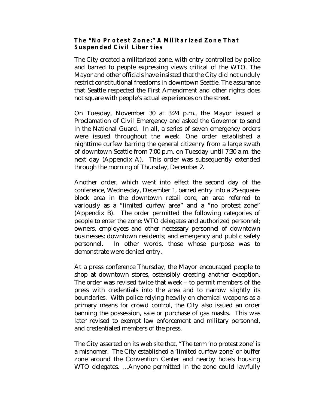#### **The "No Protest Zone:" A Militarized Zone That Suspended Civil Liberties**

The City created a militarized zone, with entry controlled by police and barred to people expressing views critical of the WTO. The Mayor and other officials have insisted that the City did not unduly restrict constitutional freedoms in downtown Seattle. The assurance that Seattle respected the First Amendment and other rights does not square with people's actual experiences on the street.

On Tuesday, November 30 at 3:24 p.m., the Mayor issued a Proclamation of Civil Emergency and asked the Governor to send in the National Guard. In all, a series of seven emergency orders were issued throughout the week. One order established a nighttime curfew barring the general citizenry from a large swath of downtown Seattle from 7:00 p.m. on Tuesday until 7:30 a.m. the next day (Appendix A). This order was subsequently extended through the morning of Thursday, December 2.

Another order, which went into effect the second day of the conference, Wednesday, December 1, barred entry into a 25-squareblock area in the downtown retail core, an area referred to variously as a "limited curfew area" and a "no protest zone" (Appendix B). The order permitted the following categories of people to enter the zone: WTO delegates and authorized personnel; owners, employees and other necessary personnel of downtown businesses; downtown residents; and emergency and public safety personnel. In other words, those whose purpose was to demonstrate were denied entry.

At a press conference Thursday, the Mayor encouraged people to shop at downtown stores, ostensibly creating another exception. The order was revised twice that week – to permit members of the press with credentials into the area and to narrow slightly its boundaries. With police relying heavily on chemical weapons as a primary means for crowd control, the City also issued an order banning the possession, sale or purchase of gas masks. This was later revised to exempt law enforcement and military personnel, and credentialed members of the press.

The City asserted on its web site that, "The term 'no protest zone' is a misnomer. The City established a 'limited curfew zone' or buffer zone around the Convention Center and nearby hotels housing WTO delegates. …Anyone permitted in the zone could lawfully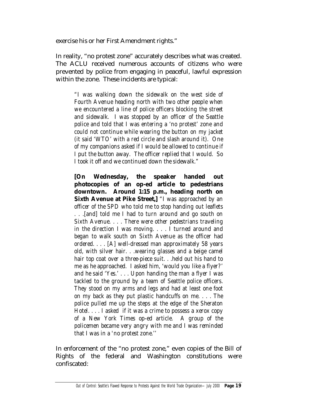exercise his or her First Amendment rights."

In reality, "no protest zone" accurately describes what was created. The ACLU received numerous accounts of citizens who were prevented by police from engaging in peaceful, lawful expression within the zone. These incidents are typical:

*"I was walking down the sidewalk on the west side of Fourth Avenue heading north with two other people when we encountered a line of police officers blocking the street and sidewalk. I was stopped by an officer of the Seattle police and told that I was entering a 'no protest' zone and could not continue while wearing the button on my jacket (it said 'WTO' with a red circle and slash around it). One of my companions asked if I would be allowed to continue if I put the button away. The officer replied that I would. So I took it off and we continued down the sidewalk."*

**[On Wednesday, the speaker handed out photocopies of an op-ed article to pedestrians downtown. Around 1:15 p.m., heading north on Sixth Avenue at Pike Street,]** *"I was approached by an officer of the SPD who told me to stop handing out leaflets . . .[and] told me I had to turn around and go south on Sixth Avenue. . . . There were other pedestrians traveling in the direction I was moving. . . . I turned around and began to walk south on Sixth Avenue as the officer had ordered. . . . [A] well-dressed man approximately 58 years old, with silver hair. . .wearing glasses and a beige camel hair top coat over a three-piece suit. . .held out his hand to me as he approached. I asked him, 'would you like a flyer?' and he said 'Yes.' . . . Upon handing the man a flyer I was tackled to the ground by a team of Seattle police officers. They stood on my arms and legs and had at least one foot on my back as they put plastic handcuffs on me. . . . The police pulled me up the steps at the edge of the Sheraton Hotel. . . . I asked if it was a crime to possess a xerox copy of a New York Times op-ed article. A group of the policemen became very angry with me and I was reminded that I was in a 'no protest zone.''* 

In enforcement of the "no protest zone," even copies of the Bill of Rights of the federal and Washington constitutions were confiscated: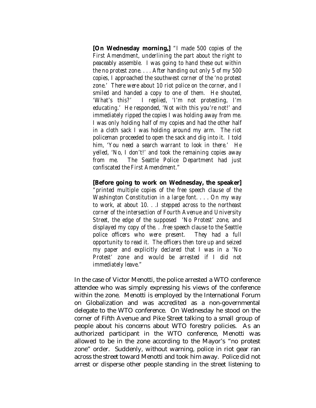**[On Wednesday morning,]** *"I made 500 copies of the First Amendment, underlining the part about the right to peaceably assemble. I was going to hand these out within the no protest zone. . . . After handing out only 5 of my 500 copies, I approached the southwest corner of the 'no protest zone.' There were about 10 riot police on the corner, and I smiled and handed a copy to one of them. He shouted, 'What's this?' I replied, 'I'm not protesting, I'm educating.' He responded, 'Not with this you're not!' and immediately ripped the copies I was holding away from me. I was only holding half of my copies and had the other half in a cloth sack I was holding around my arm. The riot policeman proceeded to open the sack and dig into it. I told him, 'You need a search warrant to look in there.' He yelled, 'No, I don't!' and took the remaining copies away from me. The Seattle Police Department had just confiscated the First Amendment."* 

**[Before going to work on Wednesday, the speaker]**

*"printed multiple copies of the free speech clause of the Washington Constitution in a large font. . . . On my way to work, at about 10. . .I stepped across to the northeast corner of the intersection of Fourth Avenue and University Street, the edge of the supposed 'No Protest' zone, and displayed my copy of the. . .free speech clause to the Seattle police officers who were present. They had a full opportunity to read it. The officers then tore up and seized my paper and explicitly declared that I was in a 'No Protest' zone and would be arrested if I did not immediately leave."*

In the case of Victor Menotti, the police arrested a WTO conference attendee who was simply expressing his views of the conference within the zone. Menotti is employed by the International Forum on Globalization and was accredited as a non-governmental delegate to the WTO conference. On Wednesday he stood on the corner of Fifth Avenue and Pike Street talking to a small group of people about his concerns about WTO forestry policies. As an authorized participant in the WTO conference, Menotti was allowed to be in the zone according to the Mayor's "no protest zone" order. Suddenly, without warning, police in riot gear ran across the street toward Menotti and took him away. Police did not arrest or disperse other people standing in the street listening to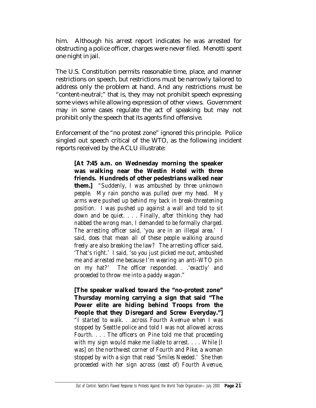him. Although his arrest report indicates he was arrested for obstructing a police officer, charges were never filed. Menotti spent one night in jail.

The U.S. Constitution permits reasonable time, place, and manner restrictions on speech, but restrictions must be narrowly tailored to address only the problem at hand. And any restrictions must be "content-neutral;" that is, they may not prohibit speech expressing some views while allowing expression of other views. Government may in some cases regulate the act of speaking but may not prohibit only the speech that its agents find offensive.

Enforcement of the "no protest zone" ignored this principle. Police singled out speech critical of the WTO, as the following incident reports received by the ACLU illustrate:

**[At 7:45 a.m. on Wednesday morning the speaker was walking near the Westin Hotel with three friends. Hundreds of other pedestrians walked near them.]** *"Suddenly, I was ambushed by three unknown people. My rain poncho was pulled over my head. My arms were pushed up behind my back in break-threatening position. I was pushed up against a wall and told to sit down and be quiet. . . . Finally, after thinking they had nabbed the wrong man, I demanded to be formally charged. The arresting officer said, 'you are in an illegal area.' I said, does that mean all of these people walking around freely are also breaking the law? The arresting officer said, 'That's right.' I said, 'so you just picked me out, ambushed me and arrested me because I'm wearing an anti-WTO pin on my hat?' The officer responded. . .'exactly' and proceeded to throw me into a paddy wagon."* 

**[The speaker walked toward the "no-protest zone" Thursday morning carrying a sign that said "The Power elite are hiding behind Troops from the People that they Disregard and Screw Everyday."]** *"I started to walk. . .across Fourth Avenue when I was stopped by Seattle police and told I was not allowed across Fourth. . . . The officers on Pine told me that proceeding with my sign would make me liable to arrest. . . . While [I was] on the northwest corner of Fourth and Pike, a woman stopped by with a sign that read 'Smiles Needed.' She then proceeded with her sign across (east of) Fourth Avenue,*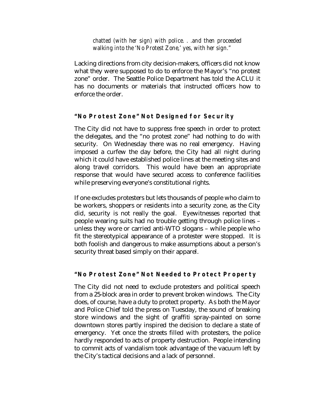#### *chatted (with her sign) with police. . .and then proceeded walking into the 'No Protest Zone,' yes, with her sign."*

Lacking directions from city decision-makers, officers did not know what they were supposed to do to enforce the Mayor's "no protest zone" order. The Seattle Police Department has told the ACLU it has no documents or materials that instructed officers how to enforce the order.

#### **"No Protest Zone" Not Designed for Security**

The City did not have to suppress free speech in order to protect the delegates, and the "no protest zone" had nothing to do with security. On Wednesday there was no real emergency. Having imposed a curfew the day before, the City had all night during which it could have established police lines at the meeting sites and along travel corridors. This would have been an appropriate response that would have secured access to conference facilities while preserving everyone's constitutional rights.

If one excludes protesters but lets thousands of people who claim to be workers, shoppers or residents into a security zone, as the City did, security is not really the goal. Eyewitnesses reported that people wearing suits had no trouble getting through police lines – unless they wore or carried anti-WTO slogans – while people who fit the stereotypical appearance of a protester were stopped. It is both foolish and dangerous to make assumptions about a person's security threat based simply on their apparel.

## **"No Protest Zone" Not Needed to Protect Property**

The City did not need to exclude protesters and political speech from a 25-block area in order to prevent broken windows. The City does, of course, have a duty to protect property. As both the Mayor and Police Chief told the press on Tuesday, the sound of breaking store windows and the sight of graffiti spray-painted on some downtown stores partly inspired the decision to declare a state of emergency. Yet once the streets filled with protesters, the police hardly responded to acts of property destruction. People intending to commit acts of vandalism took advantage of the vacuum left by the City's tactical decisions and a lack of personnel.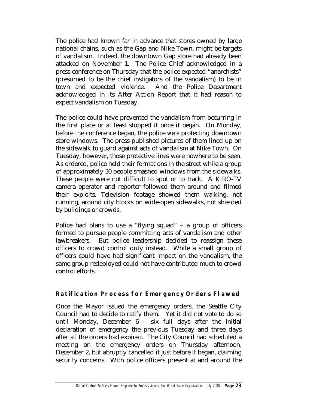The police had known far in advance that stores owned by large national chains, such as the Gap and Nike Town, might be targets of vandalism. Indeed, the downtown Gap store had already been attacked on November 1. The Police Chief acknowledged in a press conference on Thursday that the police expected "anarchists" (presumed to be the chief instigators of the vandalism) to be in town and expected violence. And the Police Department acknowledged in its After Action Report that it had reason to expect vandalism on Tuesday.

The police could have prevented the vandalism from occurring in the first place or at least stopped it once it began. On Monday, before the conference began, the police *were* protecting downtown store windows. The press published pictures of them lined up on the sidewalk to guard against acts of vandalism at Nike Town. On Tuesday, however, those protective lines were nowhere to be seen. As ordered, police held their formations in the street while a group of approximately 30 people smashed windows from the sidewalks. These people were not difficult to spot or to track. A KIRO-TV camera operator and reporter followed them around and filmed their exploits. Television footage showed them walking, not running, around city blocks on wide-open sidewalks, not shielded by buildings or crowds.

Police had plans to use a "flying squad" – a group of officers formed to pursue people committing acts of vandalism and other lawbreakers. But police leadership decided to reassign these officers to crowd control duty instead. While a small group of officers could have had significant impact on the vandalism, the same group redeployed could not have contributed much to crowd control efforts.

# **Ratification Process for Emergency Orders Flawed**

Once the Mayor issued the emergency orders, the Seattle City Council had to decide to ratify them. Yet it did not vote to do so until Monday, December 6 – six full days after the initial declaration of emergency the previous Tuesday and three days after all the orders had expired. The City Council had scheduled a meeting on the emergency orders on Thursday afternoon, December 2, but abruptly cancelled it just before it began, claiming security concerns. With police officers present at and around the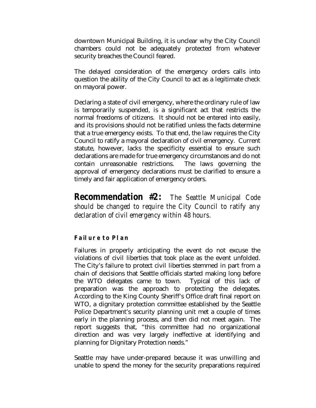downtown Municipal Building, it is unclear why the City Council chambers could not be adequately protected from whatever security breaches the Council feared.

The delayed consideration of the emergency orders calls into question the ability of the City Council to act as a legitimate check on mayoral power.

Declaring a state of civil emergency, where the ordinary rule of law is temporarily suspended, is a significant act that restricts the normal freedoms of citizens. It should not be entered into easily, and its provisions should not be ratified unless the facts determine that a true emergency exists. To that end, the law requires the City Council to ratify a mayoral declaration of civil emergency. Current statute, however, lacks the specificity essential to ensure such declarations are made for true emergency circumstances and do not contain unreasonable restrictions. The laws governing the approval of emergency declarations must be clarified to ensure a timely and fair application of emergency orders.

**Recommendation #2:** *The Seattle Municipal Code should be changed to require the City Council to ratify any declaration of civil emergency within 48 hours.*

## **Failure to Plan**

Failures in properly anticipating the event do not excuse the violations of civil liberties that took place as the event unfolded. The City's failure to protect civil liberties stemmed in part from a chain of decisions that Seattle officials started making long before the WTO delegates came to town. Typical of this lack of preparation was the approach to protecting the delegates. According to the King County Sheriff's Office draft final report on WTO, a dignitary protection committee established by the Seattle Police Department's security planning unit met a couple of times early in the planning process, and then did not meet again. The report suggests that, "this committee had no organizational direction and was very largely ineffective at identifying and planning for Dignitary Protection needs."

Seattle may have under-prepared because it was unwilling and unable to spend the money for the security preparations required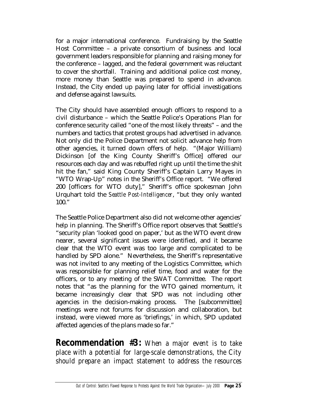for a major international conference. Fundraising by the Seattle Host Committee – a private consortium of business and local government leaders responsible for planning and raising money for the conference – lagged, and the federal government was reluctant to cover the shortfall. Training and additional police cost money, more money than Seattle was prepared to spend in advance. Instead, the City ended up paying later for official investigations and defense against lawsuits.

The City should have assembled enough officers to respond to a civil disturbance – which the Seattle Police's Operations Plan for conference security called "one of the most likely threats" – and the numbers and tactics that protest groups had advertised in advance. Not only did the Police Department not solicit advance help from other agencies, it turned down offers of help. "(Major William) Dickinson [of the King County Sheriff's Office] offered our resources each day and was rebuffed right up until the time the shit hit the fan," said King County Sheriff's Captain Larry Mayes in "WTO Wrap-Up" notes in the Sheriff's Office report. "We offered 200 [officers for WTO duty]," Sheriff's office spokesman John Urquhart told the *Seattle Post-Intelligencer*, "but they only wanted 100."

The Seattle Police Department also did not welcome other agencies' help in planning. The Sheriff's Office report observes that Seattle's "security plan 'looked good on paper,' but as the WTO event drew nearer, several significant issues were identified, and it became clear that the WTO event was too large and complicated to be handled by SPD alone." Nevertheless, the Sheriff's representative was not invited to any meeting of the Logistics Committee, which was responsible for planning relief time, food and water for the officers, or to any meeting of the SWAT Committee. The report notes that "as the planning for the WTO gained momentum, it became increasingly clear that SPD was not including other agencies in the decision-making process. The [subcommittee] meetings were not forums for discussion and collaboration, but instead, were viewed more as 'briefings,' in which, SPD updated affected agencies of the plans made so far."

**Recommendation #3:** *When a major event is to take place with a potential for large-scale demonstrations, the City should prepare an impact statement to address the resources*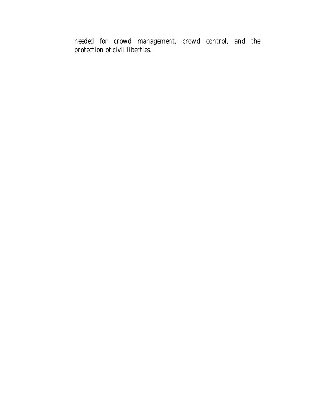*needed for crowd management, crowd control, and the protection of civil liberties.*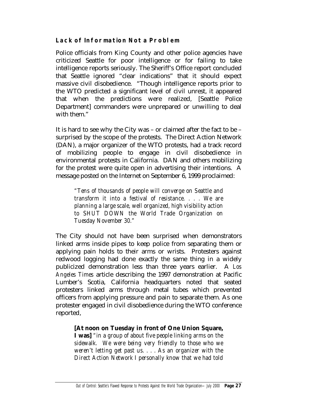## **Lack of Information Not a Problem**

Police officials from King County and other police agencies have criticized Seattle for poor intelligence or for failing to take intelligence reports seriously. The Sheriff's Office report concluded that Seattle ignored "clear indications" that it should expect massive civil disobedience. "Though intelligence reports prior to the WTO predicted a significant level of civil unrest, it appeared that when the predictions were realized, [Seattle Police Department] commanders were unprepared or unwilling to deal with them."

It is hard to see why the City was – or claimed after the fact to be – surprised by the scope of the protests. The Direct Action Network (DAN), a major organizer of the WTO protests, had a track record of mobilizing people to engage in civil disobedience in environmental protests in California. DAN and others mobilizing for the protest were quite open in advertising their intentions. A message posted on the Internet on September 6, 1999 proclaimed:

*"Tens of thousands of people will converge on Seattle and transform it into a festival of resistance. . . . We are planning a large scale, well organized, high visibility action to SHUT DOWN the World Trade Organization on Tuesday November 30."* 

The City should not have been surprised when demonstrators linked arms inside pipes to keep police from separating them or applying pain holds to their arms or wrists. Protesters against redwood logging had done exactly the same thing in a widely publicized demonstration less than three years earlier. A *Los Angeles Times* article describing the 1997 demonstration at Pacific Lumber's Scotia, California headquarters noted that seated protesters linked arms through metal tubes which prevented officers from applying pressure and pain to separate them. As one protester engaged in civil disobedience during the WTO conference reported,

**[At noon on Tuesday in front of One Union Square,** 

**I was]** *"in a group of about five people linking arms on the sidewalk. We were being very friendly to those who we weren't letting get past us. . . . As an organizer with the Direct Action Network I personally know that we had told*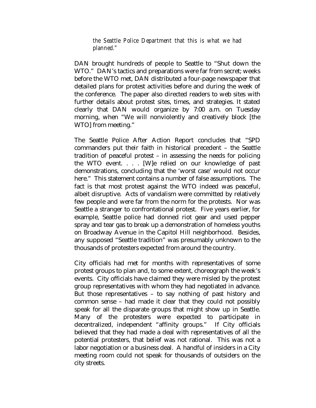*the Seattle Police Department that this is what we had planned."* 

DAN brought hundreds of people to Seattle to "Shut down the WTO." DAN's tactics and preparations were far from secret; weeks before the WTO met, DAN distributed a four-page newspaper that detailed plans for protest activities before and during the week of the conference. The paper also directed readers to web sites with further details about protest sites, times, and strategies. It stated clearly that DAN would organize by 7:00 a.m. on Tuesday morning, when "We will nonviolently and creatively block [the WTO] from meeting."

The Seattle Police After Action Report concludes that "SPD commanders put their faith in historical precedent – the Seattle tradition of peaceful protest – in assessing the needs for policing the WTO event. . . . [W]e relied on our knowledge of past demonstrations, concluding that the 'worst case' would not occur here." This statement contains a number of false assumptions. The fact is that most protest against the WTO indeed was peaceful, albeit disruptive. Acts of vandalism were committed by relatively few people and were far from the norm for the protests. Nor was Seattle a stranger to confrontational protest. Five years earlier, for example, Seattle police had donned riot gear and used pepper spray and tear gas to break up a demonstration of homeless youths on Broadway Avenue in the Capitol Hill neighborhood. Besides, any supposed "Seattle tradition" was presumably unknown to the thousands of protesters expected from around the country.

City officials had met for months with representatives of some protest groups to plan and, to some extent, choreograph the week's events. City officials have claimed they were misled by the protest group representatives with whom they had negotiated in advance. But those representatives – to say nothing of past history and common sense – had made it clear that they could not possibly speak for all the disparate groups that might show up in Seattle. Many of the protesters were expected to participate in decentralized, independent "affinity groups." If City officials believed that they had made a deal with representatives of all the potential protesters, that belief was not rational. This was not a labor negotiation or a business deal. A handful of insiders in a City meeting room could not speak for thousands of outsiders on the city streets.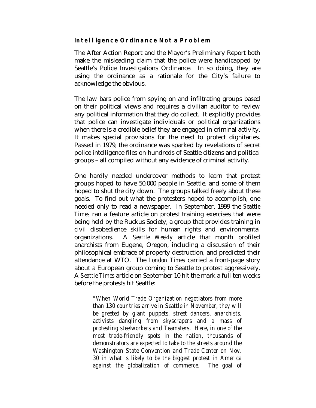#### **Intelligence Ordinance Not a Problem**

The After Action Report and the Mayor's Preliminary Report both make the misleading claim that the police were handicapped by Seattle's Police Investigations Ordinance. In so doing, they are using the ordinance as a rationale for the City's failure to acknowledge the obvious.

The law bars police from spying on and infiltrating groups based on their political views and requires a civilian auditor to review any political information that they do collect. It explicitly provides that police can investigate individuals or political organizations when there is a credible belief they are engaged in criminal activity. It makes special provisions for the need to protect dignitaries. Passed in 1979, the ordinance was sparked by revelations of secret police intelligence files on hundreds of Seattle citizens and political groups – all compiled without any evidence of criminal activity.

One hardly needed undercover methods to learn that protest groups hoped to have 50,000 people in Seattle, and some of them hoped to shut the city down. The groups talked freely about these goals. To find out what the protesters hoped to accomplish, one needed only to read a newspaper. In September, 1999 the *Seattle Times* ran a feature article on protest training exercises that were being held by the Ruckus Society, a group that provides training in civil disobedience skills for human rights and environmental organizations. A *Seattle Weekly* article that month profiled anarchists from Eugene, Oregon, including a discussion of their philosophical embrace of property destruction, and predicted their attendance at WTO. The *London Times* carried a front-page story about a European group coming to Seattle to protest aggressively. A *Seattle Times* article on September 10 hit the mark a full ten weeks before the protests hit Seattle:

*"When World Trade Organization negotiators from more than 130 countries arrive in Seattle in November, they will be greeted by giant puppets, street dancers, anarchists, activists dangling from skyscrapers and a mass of protesting steelworkers and Teamsters. Here, in one of the most trade-friendly spots in the nation, thousands of demonstrators are expected to take to the streets around the Washington State Convention and Trade Center on Nov. 30 in what is likely to be the biggest protest in America against the globalization of commerce. The goal of*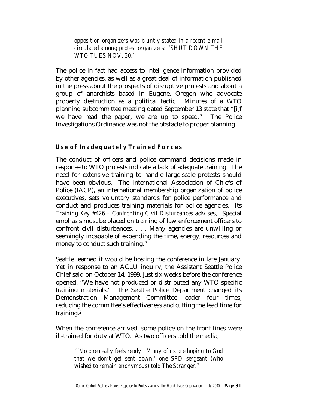*opposition organizers was bluntly stated in a recent e-mail circulated among protest organizers: 'SHUT DOWN THE WTO TUES NOV. 30.'"* 

The police in fact had access to intelligence information provided by other agencies, as well as a great deal of information published in the press about the prospects of disruptive protests and about a group of anarchists based in Eugene, Oregon who advocate property destruction as a political tactic. Minutes of a WTO planning subcommittee meeting dated September 13 state that "[i]f we have read the paper, we are up to speed." The Police Investigations Ordinance was not the obstacle to proper planning.

# **Use of Inadequately Trained Forces**

The conduct of officers and police command decisions made in response to WTO protests indicate a lack of adequate training. The need for extensive training to handle large-scale protests should have been obvious. The International Association of Chiefs of Police (IACP), an international membership organization of police executives, sets voluntary standards for police performance and conduct and produces training materials for police agencies. Its *Training Key #426 – Confronting Civil Disturbances* advises, "Special emphasis must be placed on training of law enforcement officers to confront civil disturbances. . . . Many agencies are unwilling or seemingly incapable of expending the time, energy, resources and money to conduct such training."

Seattle learned it would be hosting the conference in late January. Yet in response to an ACLU inquiry, the Assistant Seattle Police Chief said on October 14, 1999, just six weeks before the conference opened, "We have not produced or distributed any WTO specific training materials." The Seattle Police Department changed its Demonstration Management Committee leader four times, reducing the committee's effectiveness and cutting the lead time for training.2

When the conference arrived, some police on the front lines were ill-trained for duty at WTO. As two officers told the media,

> *"'No one really feels ready. Many of us are hoping to God that we don't get sent down,' one SPD sergeant (who wished to remain anonymous) told The Stranger."*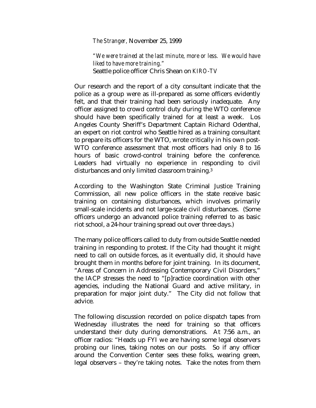*The Stranger,* November 25, 1999

*"We were trained at the last minute, more or less. We would have liked to have more training."*  Seattle police officer Chris Shean on *KIRO-TV* 

Our research and the report of a city consultant indicate that the police as a group were as ill-prepared as some officers evidently felt, and that their training had been seriously inadequate. Any officer assigned to crowd control duty during the WTO conference should have been specifically trained for at least a week. Los Angeles County Sheriff's Department Captain Richard Odenthal, an expert on riot control who Seattle hired as a training consultant to prepare its officers for the WTO, wrote critically in his own post-WTO conference assessment that most officers had only 8 to 16 hours of basic crowd-control training before the conference. Leaders had virtually no experience in responding to civil disturbances and only limited classroom training.3

According to the Washington State Criminal Justice Training Commission, all new police officers in the state receive basic training on containing disturbances, which involves primarily small-scale incidents and not large-scale civil disturbances. (Some officers undergo an advanced police training referred to as basic riot school, a 24-hour training spread out over three days.)

The many police officers called to duty from outside Seattle needed training in responding to protest. If the City had thought it might need to call on outside forces, as it eventually did, it should have brought them in months before for joint training. In its document, "Areas of Concern in Addressing Contemporary Civil Disorders," the IACP stresses the need to "[p]ractice coordination with other agencies, including the National Guard and active military, in preparation for major joint duty." The City did not follow that advice.

The following discussion recorded on police dispatch tapes from Wednesday illustrates the need for training so that officers understand their duty during demonstrations. At 7:56 a.m., an officer radios: "Heads up FYI we are having some legal observers probing our lines, taking notes on our posts. So if any officer around the Convention Center sees these folks, wearing green, legal observers – they're taking notes. Take the notes from them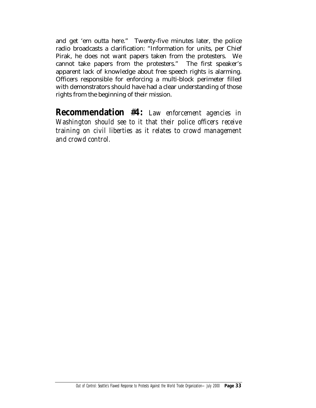and get 'em outta here." Twenty-five minutes later, the police radio broadcasts a clarification: "Information for units, per Chief Pirak, he does not want papers taken from the protesters. We cannot take papers from the protesters." The first speaker's apparent lack of knowledge about free speech rights is alarming. Officers responsible for enforcing a multi-block perimeter filled with demonstrators should have had a clear understanding of those rights from the beginning of their mission.

**Recommendation #4:** *Law enforcement agencies in Washington should see to it that their police officers receive training on civil liberties as it relates to crowd management and crowd control.*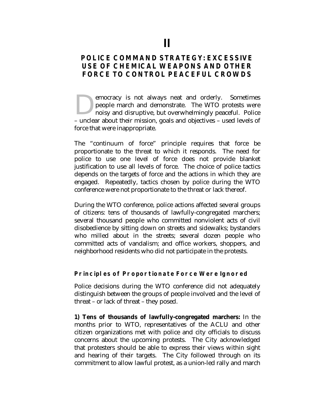# **POLICE COMMAND STRATEGY: EXCESSIVE USE OF CHEMICAL WEAPONS AND OTHER FORCE TO CONTROL PEACEFUL CROWDS**

emocracy is not always neat and orderly. Sometimes people march and demonstrate. The WTO protests were noisy and disruptive, but overwhelmingly peaceful. Police emocracy is not always neat and orderly. Sometimes<br>
people march and demonstrate. The WTO protests were<br>
noisy and disruptive, but overwhelmingly peaceful. Police<br>
– unclear about their mission, goals and objectives – used force that were inappropriate.

The "continuum of force" principle requires that force be proportionate to the threat to which it responds. The need for police to use one level of force does not provide blanket justification to use all levels of force. The choice of police tactics depends on the targets of force and the actions in which they are engaged. Repeatedly, tactics chosen by police during the WTO conference were not proportionate to the threat or lack thereof.

During the WTO conference, police actions affected several groups of citizens: tens of thousands of lawfully-congregated marchers; several thousand people who committed nonviolent acts of civil disobedience by sitting down on streets and sidewalks; bystanders who milled about in the streets; several dozen people who committed acts of vandalism; and office workers, shoppers, and neighborhood residents who did not participate in the protests.

#### **Principles of Proportionate Force Were Ignored**

Police decisions during the WTO conference did not adequately distinguish between the groups of people involved and the level of threat – or lack of threat – they posed.

**1) Tens of thousands of lawfully-congregated marchers:** In the months prior to WTO, representatives of the ACLU and other citizen organizations met with police and city officials to discuss concerns about the upcoming protests. The City acknowledged that protesters should be able to express their views within sight and hearing of their targets. The City followed through on its commitment to allow lawful protest, as a union-led rally and march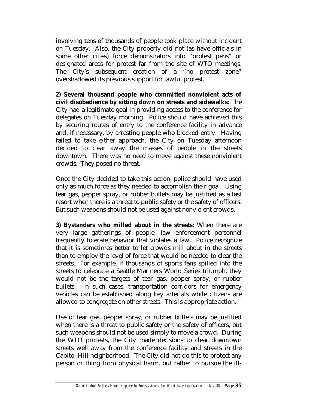involving tens of thousands of people took place without incident on Tuesday. Also, the City properly did not (as have officials in some other cities) force demonstrators into "protest pens" or designated areas for protest far from the site of WTO meetings. The City's subsequent creation of a "no protest zone" overshadowed its previous support for lawful protest.

**2) Several thousand people who committed nonviolent acts of civil disobedience by sitting down on streets and sidewalks:** The City had a legitimate goal in providing access to the conference for delegates on Tuesday morning. Police should have achieved this by securing routes of entry to the conference facility in advance and, if necessary, by arresting people who blocked entry. Having failed to take either approach, the City on Tuesday afternoon decided to clear away the masses of people in the streets downtown. There was no need to move against these nonviolent crowds. They posed no threat.

Once the City decided to take this action, police should have used only as much force as they needed to accomplish their goal. Using tear gas, pepper spray, or rubber bullets may be justified as a last resort when there is a threat to public safety or the safety of officers. But such weapons should not be used against nonviolent crowds.

**3) Bystanders who milled about in the streets:** When there are very large gatherings of people, law enforcement personnel frequently tolerate behavior that violates a law. Police recognize that it is sometimes better to let crowds mill about in the streets than to employ the level of force that would be needed to clear the streets. For example, if thousands of sports fans spilled into the streets to celebrate a Seattle Mariners World Series triumph, they would not be the targets of tear gas, pepper spray, or rubber bullets. In such cases, transportation corridors for emergency vehicles can be established along key arterials while citizens are allowed to congregate on other streets. This is appropriate action.

Use of tear gas, pepper spray, or rubber bullets may be justified when there is a threat to public safety or the safety of officers, but such weapons should not be used simply to move a crowd. During the WTO protests, the City made decisions to clear downtown streets well away from the conference facility and streets in the Capitol Hill neighborhood. The City did not do this to protect any person or thing from physical harm, but rather to pursue the ill-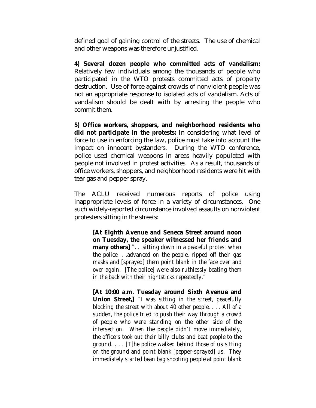defined goal of gaining control of the streets. The use of chemical and other weapons was therefore unjustified.

**4) Several dozen people who committed acts of vandalism:** Relatively few individuals among the thousands of people who participated in the WTO protests committed acts of property destruction. Use of force against crowds of nonviolent people was not an appropriate response to isolated acts of vandalism. Acts of vandalism should be dealt with by arresting the people who commit them.

**5) Office workers, shoppers, and neighborhood residents who did not participate in the protests:** In considering what level of force to use in enforcing the law, police must take into account the impact on innocent bystanders. During the WTO conference, police used chemical weapons in areas heavily populated with people not involved in protest activities. As a result, thousands of office workers, shoppers, and neighborhood residents were hit with tear gas and pepper spray.

The ACLU received numerous reports of police using inappropriate levels of force in a variety of circumstances. One such widely-reported circumstance involved assaults on nonviolent protesters sitting in the streets:

**[At Eighth Avenue and Seneca Street around noon on Tuesday, the speaker witnessed her friends and many others]** *". . .sitting down in a peaceful protest when the police. . .advanced on the people, ripped off their gas masks and [sprayed] them point blank in the face over and over again. [The police] were also ruthlessly beating them in the back with their nightsticks repeatedly."* 

**[At 10:00 a.m. Tuesday around Sixth Avenue and Union Street,]** *"I was sitting in the street, peacefully blocking the street with about 40 other people. . . . All of a sudden, the police tried to push their way through a crowd of people who were standing on the other side of the intersection. When the people didn't move immediately, the officers took out their billy clubs and beat people to the ground. . . . [T]he police walked behind those of us sitting on the ground and point blank [pepper-sprayed] us. They immediately started bean bag shooting people at point blank*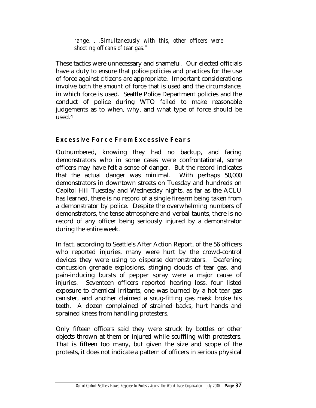*range. . .Simultaneously with this, other officers were shooting off cans of tear gas."* 

These tactics were unnecessary and shameful. Our elected officials have a duty to ensure that police policies and practices for the use of force against citizens are appropriate. Important considerations involve both the *amount* of force that is used and the *circumstances* in which force is used. Seattle Police Department policies and the conduct of police during WTO failed to make reasonable judgements as to when, why, and what type of force should be used.4

# **Excessive Force From Excessive Fears**

Outnumbered, knowing they had no backup, and facing demonstrators who in some cases were confrontational, some officers may have felt a sense of danger. But the record indicates that the actual danger was minimal. With perhaps 50,000 demonstrators in downtown streets on Tuesday and hundreds on Capitol Hill Tuesday and Wednesday nights, as far as the ACLU has learned, there is no record of a single firearm being taken from a demonstrator by police. Despite the overwhelming numbers of demonstrators, the tense atmosphere and verbal taunts, there is no record of any officer being seriously injured by a demonstrator during the entire week.

In fact, according to Seattle's After Action Report, of the 56 officers who reported injuries, many were hurt by the crowd-control devices they were using to disperse demonstrators. Deafening concussion grenade explosions, stinging clouds of tear gas, and pain-inducing bursts of pepper spray were a major cause of injuries. Seventeen officers reported hearing loss, four listed exposure to chemical irritants, one was burned by a hot tear gas canister, and another claimed a snug-fitting gas mask broke his teeth. A dozen complained of strained backs, hurt hands and sprained knees from handling protesters.

Only fifteen officers said they were struck by bottles or other objects thrown at them or injured while scuffling with protesters. That is fifteen too many, but given the size and scope of the protests, it does not indicate a pattern of officers in serious physical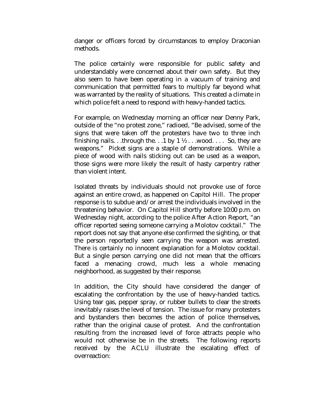danger or officers forced by circumstances to employ Draconian methods.

The police certainly were responsible for public safety and understandably were concerned about their own safety. But they also seem to have been operating in a vacuum of training and communication that permitted fears to multiply far beyond what was warranted by the reality of situations. This created a climate in which police felt a need to respond with heavy-handed tactics.

For example, on Wednesday morning an officer near Denny Park, outside of the "no protest zone," radioed, "Be advised, some of the signs that were taken off the protesters have two to three inch finishing nails. . .through the. . .1 by  $1 \frac{1}{2}$  . . . wood. . . . So, they are weapons." Picket signs are a staple of demonstrations. While a piece of wood with nails sticking out can be used as a weapon, those signs were more likely the result of hasty carpentry rather than violent intent.

Isolated threats by individuals should not provoke use of force against an entire crowd, as happened on Capitol Hill. The proper response is to subdue and/or arrest the individuals involved in the threatening behavior. On Capitol Hill shortly before 10:00 p.m. on Wednesday night, according to the police After Action Report, "an officer reported seeing someone carrying a Molotov cocktail." The report does not say that anyone else confirmed the sighting, or that the person reportedly seen carrying the weapon was arrested. There is certainly no innocent explanation for a Molotov cocktail. But a single person carrying one did not mean that the officers faced a menacing crowd, much less a whole menacing neighborhood, as suggested by their response.

In addition, the City should have considered the danger of escalating the confrontation by the use of heavy-handed tactics. Using tear gas, pepper spray, or rubber bullets to clear the streets inevitably raises the level of tension. The issue for many protesters and bystanders then becomes the action of police themselves, rather than the original cause of protest. And the confrontation resulting from the increased level of force attracts people who would not otherwise be in the streets. The following reports received by the ACLU illustrate the escalating effect of overreaction: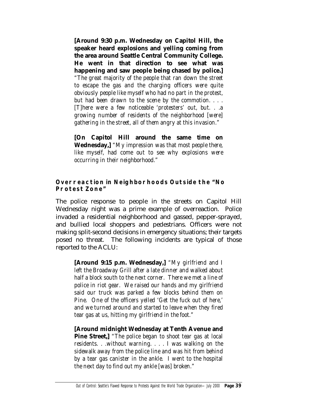**[Around 9:30 p.m. Wednesday on Capitol Hill, the speaker heard explosions and yelling coming from the area around Seattle Central Community College. He went in that direction to see what was happening and saw people being chased by police.]**

*"The great majority of the people that ran down the street to escape the gas and the charging officers were quite obviously people like myself who had no part in the protest, but had been drawn to the scene by the commotion. . . . [T]here were a few noticeable 'protesters' out, but. . .a growing number of residents of the neighborhood [were] gathering in the street, all of them angry at this invasion."* 

**[On Capitol Hill around the same time on Wednesday,]** *"My impression was that most people there, like myself, had come out to see why explosions were occurring in their neighborhood."* 

#### **Overreaction in Neighborhoods Outside the "No Protest Zone"**

The police response to people in the streets on Capitol Hill Wednesday night was a prime example of overreaction. Police invaded a residential neighborhood and gassed, pepper-sprayed, and bullied local shoppers and pedestrians. Officers were not making split-second decisions in emergency situations; their targets posed no threat. The following incidents are typical of those reported to the ACLU:

**[Around 9:15 p.m. Wednesday,]** *"My girlfriend and I left the Broadway Grill after a late dinner and walked about half a block south to the next corner. There we met a line of police in riot gear. We raised our hands and my girlfriend said our truck was parked a few blocks behind them on Pine. One of the officers yelled 'Get the fuck out of here,' and we turned around and started to leave when they fired tear gas at us, hitting my girlfriend in the foot."*

**[Around midnight Wednesday at Tenth Avenue and Pine Street,]** *"The police began to shoot tear gas at local residents. . .without warning. . . . I was walking on the sidewalk away from the police line and was hit from behind by a tear gas canister in the ankle. I went to the hospital the next day to find out my ankle [was] broken."*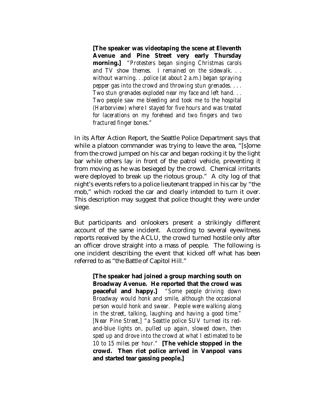**[The speaker was videotaping the scene at Eleventh Avenue and Pine Street very early Thursday morning.]** *"Protesters began singing Christmas carols and TV show themes. I remained on the sidewalk. . . without warning. . .police (at about 2 a.m.) began spraying pepper gas into the crowd and throwing stun grenades. . . . Two stun grenades exploded near my face and left hand. . . Two people saw me bleeding and took me to the hospital (Harborview) where I stayed for five hours and was treated for lacerations on my forehead and two fingers and two fractured finger bones."*

In its After Action Report, the Seattle Police Department says that while a platoon commander was trying to leave the area, "[s]ome from the crowd jumped on his car and began rocking it by the light bar while others lay in front of the patrol vehicle, preventing it from moving as he was besieged by the crowd. Chemical irritants were deployed to break up the riotous group." A city log of that night's events refers to a police lieutenant trapped in his car by "the mob," which rocked the car and clearly intended to turn it over. This description may suggest that police thought they were under siege.

But participants and onlookers present a strikingly different account of the same incident. According to several eyewitness reports received by the ACLU, the crowd turned hostile only after an officer drove straight into a mass of people. The following is one incident describing the event that kicked off what has been referred to as "the Battle of Capitol Hill."

**[The speaker had joined a group marching south on Broadway Avenue. He reported that the crowd was peaceful and happy.]** *"Some people driving down Broadway would honk and smile, although the occasional person would honk and swear. People were walking along in the street, talking, laughing and having a good time." [Near Pine Street,] "a Seattle police SUV turned its redand-blue lights on, pulled up again, slowed down, then sped up and drove into the crowd at what I estimated to be 10 to 15 miles per hour."* **[The vehicle stopped in the crowd. Then riot police arrived in Vanpool vans and started tear gassing people.]**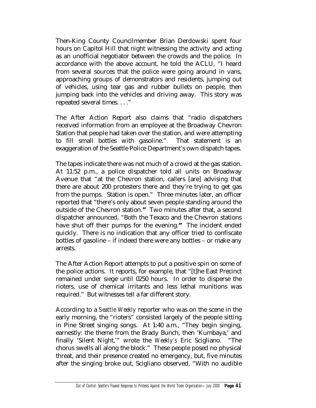Then-King County Councilmember Brian Derdowski spent four hours on Capitol Hill that night witnessing the activity and acting as an unofficial negotiator between the crowds and the police. In accordance with the above account, he told the ACLU, "I heard from several sources that the police were going around in vans, approaching groups of demonstrators and residents, jumping out of vehicles, using tear gas and rubber bullets on people, then jumping back into the vehicles and driving away. This story was repeated several times. . . ."

The After Action Report also claims that "radio dispatchers received information from an employee at the Broadway Chevron Station that people had taken over the station, and were attempting to fill small bottles with gasoline." That statement is an exaggeration of the Seattle Police Department's own dispatch tapes.

The tapes indicate there was not much of a crowd at the gas station. At 11:52 p.m., a police dispatcher told all units on Broadway Avenue that "at the Chevron station, callers [are] advising that there are about 200 protesters there and they're trying to get gas from the pumps. Station is open." Three minutes later, an officer reported that "there's only about seven people standing around the outside of the Chevron station.*"* Two minutes after that, a second dispatcher announced, "Both the Texaco and the Chevron stations have shut off their pumps for the evening.*"* The incident ended quickly. There is no indication that any officer tried to confiscate bottles of gasoline – if indeed there were any bottles – or make any arrests.

The After Action Report attempts to put a positive spin on some of the police actions. It reports, for example, that "[t]he East Precinct remained under siege until 0250 hours. In order to disperse the rioters, use of chemical irritants and less lethal munitions was required." But witnesses tell a far different story.

According to a *Seattle Weekly* reporter who was on the scene in the early morning, the "rioters" consisted largely of the people sitting in Pine Street singing songs. At 1:40 a.m., "They begin singing, earnestly: the theme from the Brady Bunch, then 'Kumbaya,' and finally 'Silent Night,'" wrote the *Weekly's* Eric Scigliano. "The chorus swells all along the block."These people posed no physical threat, and their presence created no emergency, but, five minutes after the singing broke out, Scigliano observed, "With no audible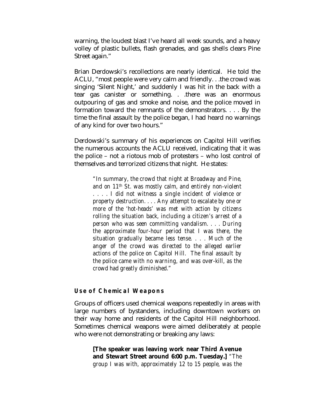warning, the loudest blast I've heard all week sounds, and a heavy volley of plastic bullets, flash grenades, and gas shells clears Pine Street again."

Brian Derdowski's recollections are nearly identical. He told the ACLU, "most people were very calm and friendly. . .the crowd was singing 'Silent Night,' and suddenly I was hit in the back with a tear gas canister or something. . .there was an enormous outpouring of gas and smoke and noise, and the police moved in formation toward the remnants of the demonstrators. . . . By the time the final assault by the police began, I had heard no warnings of any kind for over two hours."

Derdowski's summary of his experiences on Capitol Hill verifies the numerous accounts the ACLU received, indicating that it was the police – not a riotous mob of protesters – who lost control of themselves and terrorized citizens that night. He states:

*"In summary, the crowd that night at Broadway and Pine, and on 11th St. was mostly calm, and entirely non-violent . . . . I did not witness a single incident of violence or property destruction. . . . Any attempt to escalate by one or more of the 'hot-heads' was met with action by citizens rolling the situation back, including a citizen's arrest of a person who was seen committing vandalism. . . . During the approximate four-hour period that I was there, the situation gradually became less tense. . . . Much of the anger of the crowd was directed to the alleged earlier actions of the police on Capitol Hill. The final assault by the police came with no warning, and was over-kill, as the crowd had greatly diminished."* 

#### **Use of Chemical Weapons**

Groups of officers used chemical weapons repeatedly in areas with large numbers of bystanders, including downtown workers on their way home and residents of the Capitol Hill neighborhood. Sometimes chemical weapons were aimed deliberately at people who were not demonstrating or breaking any laws:

**[The speaker was leaving work near Third Avenue and Stewart Street around 6:00 p.m. Tuesday.]** *"The group I was with, approximately 12 to 15 people, was the*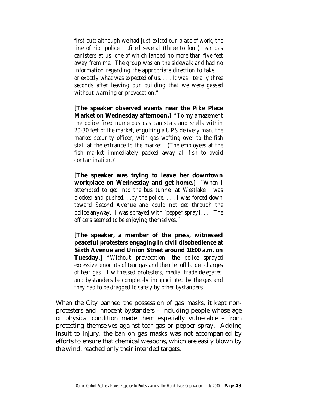*first out; although we had just exited our place of work, the line of riot police. . .fired several (three to four) tear gas canisters at us, one of which landed no more than five feet away from me. The group was on the sidewalk and had no information regarding the appropriate direction to take. . . or exactly what was expected of us. . . . It was literally three seconds after leaving our building that we were gassed without warning or provocation."* 

**[The speaker observed events near the Pike Place Market on Wednesday afternoon.]** *"To my amazement the police fired numerous gas canisters and shells within 20-30 feet of the market, engulfing a UPS delivery man, the market security officer, with gas wafting over to the fish stall at the entrance to the market. (The employees at the fish market immediately packed away all fish to avoid contamination.)"* 

**[The speaker was trying to leave her downtown workplace on Wednesday and get home.]** *"When I attempted to get into the bus tunnel at Westlake I was blocked and pushed. . .by the police. . . . I was forced down toward Second Avenue and could not get through the police anyway. I was sprayed with [pepper spray]. . . . The officers seemed to be enjoying themselves."* 

**[The speaker, a member of the press, witnessed peaceful protesters engaging in civil disobedience at Sixth Avenue and Union Street around 10:00 a.m. on Tuesday**.] *"Without provocation, the police sprayed excessive amounts of tear gas and then let off larger charges of tear gas. I witnessed protesters, media, trade delegates, and bystanders be completely incapacitated by the gas and they had to be dragged to safety by other bystanders."* 

When the City banned the possession of gas masks, it kept nonprotesters and innocent bystanders – including people whose age or physical condition made them especially vulnerable – from protecting themselves against tear gas or pepper spray. Adding insult to injury, the ban on gas masks was not accompanied by efforts to ensure that chemical weapons, which are easily blown by the wind, reached only their intended targets.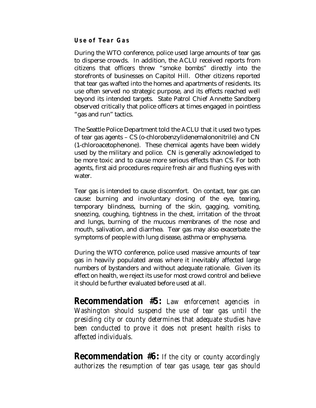## **Use of Tear Gas**

During the WTO conference, police used large amounts of tear gas to disperse crowds. In addition, the ACLU received reports from citizens that officers threw "smoke bombs" directly into the storefronts of businesses on Capitol Hill. Other citizens reported that tear gas wafted into the homes and apartments of residents. Its use often served no strategic purpose, and its effects reached well beyond its intended targets. State Patrol Chief Annette Sandberg observed critically that police officers at times engaged in pointless "gas and run" tactics.

The Seattle Police Department told the ACLU that it used two types of tear gas agents – CS (o-chlorobenzylidenemalononitrile) and CN (1-chloroacetophenone). These chemical agents have been widely used by the military and police. CN is generally acknowledged to be more toxic and to cause more serious effects than CS. For both agents, first aid procedures require fresh air and flushing eyes with water.

Tear gas is intended to cause discomfort. On contact, tear gas can cause: burning and involuntary closing of the eye, tearing, temporary blindness, burning of the skin, gagging, vomiting, sneezing, coughing, tightness in the chest, irritation of the throat and lungs, burning of the mucous membranes of the nose and mouth, salivation, and diarrhea. Tear gas may also exacerbate the symptoms of people with lung disease, asthma or emphysema.

During the WTO conference, police used massive amounts of tear gas in heavily populated areas where it inevitably affected large numbers of bystanders and without adequate rationale. Given its effect on health, we reject its use for most crowd control and believe it should be further evaluated before used at all.

**Recommendation #5:** *Law enforcement agencies in Washington should suspend the use of tear gas until the presiding city or county determines that adequate studies have been conducted to prove it does not present health risks to affected individuals.*

**Recommendation #6:** *If the city or county accordingly authorizes the resumption of tear gas usage, tear gas should*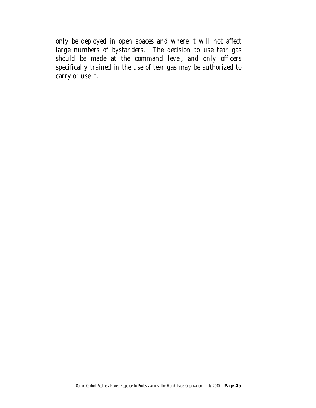*only be deployed in open spaces and where it will not affect large numbers of bystanders. The decision to use tear gas should be made at the command level, and only officers specifically trained in the use of tear gas may be authorized to carry or use it.*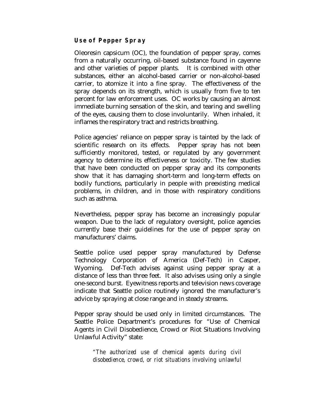## **Use of Pepper Spray**

Oleoresin capsicum (OC), the foundation of pepper spray, comes from a naturally occurring, oil-based substance found in cayenne and other varieties of pepper plants. It is combined with other substances, either an alcohol-based carrier or non-alcohol-based carrier, to atomize it into a fine spray. The effectiveness of the spray depends on its strength, which is usually from five to ten percent for law enforcement uses. OC works by causing an almost immediate burning sensation of the skin, and tearing and swelling of the eyes, causing them to close involuntarily. When inhaled, it inflames the respiratory tract and restricts breathing.

Police agencies' reliance on pepper spray is tainted by the lack of scientific research on its effects. Pepper spray has not been sufficiently monitored, tested, or regulated by any government agency to determine its effectiveness or toxicity. The few studies that have been conducted on pepper spray and its components show that it has damaging short-term and long-term effects on bodily functions, particularly in people with preexisting medical problems, in children, and in those with respiratory conditions such as asthma.

Nevertheless, pepper spray has become an increasingly popular weapon. Due to the lack of regulatory oversight, police agencies currently base their guidelines for the use of pepper spray on manufacturers' claims.

Seattle police used pepper spray manufactured by Defense Technology Corporation of America (Def-Tech) in Casper, Wyoming. Def-Tech advises against using pepper spray at a distance of less than three feet. It also advises using only a single one-second burst. Eyewitness reports and television news coverage indicate that Seattle police routinely ignored the manufacturer's advice by spraying at close range and in steady streams.

Pepper spray should be used only in limited circumstances. The Seattle Police Department's procedures for "Use of Chemical Agents in Civil Disobedience, Crowd or Riot Situations Involving Unlawful Activity" state:

> *"The authorized use of chemical agents during civil disobedience, crowd, or riot situations involving unlawful*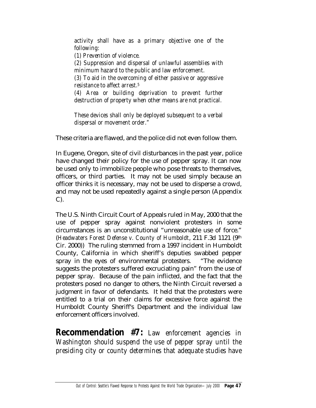*activity shall have as a primary objective one of the following: (1) Prevention of violence. (2) Suppression and dispersal of unlawful assemblies with minimum hazard to the public and law enforcement. (3) To aid in the overcoming of either passive or aggressive resistance to affect arrest.5 (4) Area or building deprivation to prevent further destruction of property when other means are not practical.* 

*These devices shall only be deployed subsequent to a verbal dispersal or movement order."* 

These criteria are flawed, and the police did not even follow them.

In Eugene, Oregon, site of civil disturbances in the past year, police have changed their policy for the use of pepper spray. It can now be used only to immobilize people who pose threats to themselves, officers, or third parties. It may not be used simply because an officer thinks it is necessary, may not be used to disperse a crowd, and may not be used repeatedly against a single person (Appendix C).

The U.S. Ninth Circuit Court of Appeals ruled in May, 2000 that the use of pepper spray against nonviolent protesters in some circumstances is an unconstitutional "unreasonable use of force." (*Headwaters Forest Defense v. County of Humboldt*, 211 F.3d 1121 (9th Cir. 2000)) The ruling stemmed from a 1997 incident in Humboldt County, California in which sheriff's deputies swabbed pepper spray in the eyes of environmental protesters. "The evidence suggests the protesters suffered excruciating pain" from the use of pepper spray. Because of the pain inflicted, and the fact that the protesters posed no danger to others, the Ninth Circuit reversed a judgment in favor of defendants. It held that the protesters were entitled to a trial on their claims for excessive force against the Humboldt County Sheriff's Department and the individual law enforcement officers involved.

**Recommendation #7:** *Law enforcement agencies in Washington should suspend the use of pepper spray until the presiding city or county determines that adequate studies have*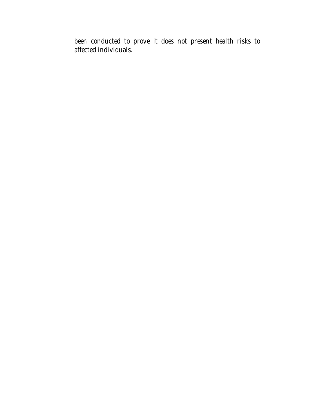*been conducted to prove it does not present health risks to affected individuals.*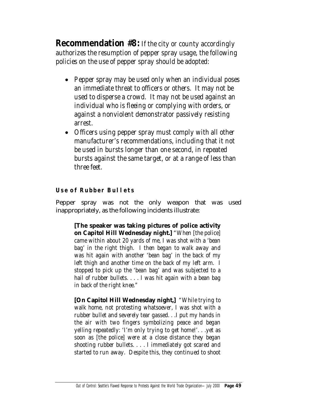**Recommendation #8:** *If the city or county accordingly authorizes the resumption of pepper spray usage, the following policies on the use of pepper spray should be adopted:* 

- *Pepper spray may be used only when an individual poses an immediate threat to officers or others. It may not be used to disperse a crowd. It may not be used against an individual who is fleeing or complying with orders, or against a nonviolent demonstrator passively resisting arrest.*
- *Officers using pepper spray must comply with all other manufacturer's recommendations, including that it not be used in bursts longer than one second, in repeated bursts against the same target, or at a range of less than three feet.*

## **Use of Rubber Bullets**

Pepper spray was not the only weapon that was used inappropriately, as the following incidents illustrate:

**[The speaker was taking pictures of police activity on Capitol Hill Wednesday night.]** *"When [the police] came within about 20 yards of me, I was shot with a 'bean bag' in the right thigh. I then began to walk away and was hit again with another 'bean bag' in the back of my left thigh and another time on the back of my left arm. I stopped to pick up the 'bean bag' and was subjected to a hail of rubber bullets. . . . I was hit again with a bean bag in back of the right knee."* 

**[On Capitol Hill Wednesday night,]** *"While trying to walk home, not protesting whatsoever, I was shot with a rubber bullet and severely tear gassed. . .I put my hands in the air with two fingers symbolizing peace and began yelling repeatedly: 'I'm only trying to get home!'. . .yet as soon as [the police] were at a close distance they began shooting rubber bullets. . . . I immediately got scared and started to run away. Despite this, they continued to shoot*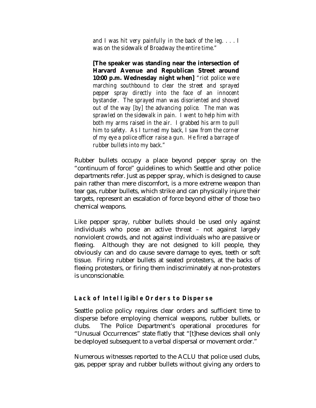*and I was hit very painfully in the back of the leg. . . . I was on the sidewalk of Broadway the entire time."* 

**[The speaker was standing near the intersection of Harvard Avenue and Republican Street around 10:00 p.m. Wednesday night when]** *"riot police were marching southbound to clear the street and sprayed pepper spray directly into the face of an innocent bystander. The sprayed man was disoriented and shoved out of the way [by] the advancing police. The man was sprawled on the sidewalk in pain. I went to help him with both my arms raised in the air. I grabbed his arm to pull him to safety. As I turned my back, I saw from the corner of my eye a police officer raise a gun. He fired a barrage of rubber bullets into my back."* 

Rubber bullets occupy a place beyond pepper spray on the "continuum of force" guidelines to which Seattle and other police departments refer. Just as pepper spray, which is designed to cause pain rather than mere discomfort, is a more extreme weapon than tear gas, rubber bullets, which strike and can physically injure their targets, represent an escalation of force beyond either of those two chemical weapons.

Like pepper spray, rubber bullets should be used only against individuals who pose an active threat – not against largely nonviolent crowds, and not against individuals who are passive or fleeing. Although they are not designed to kill people, they obviously can and do cause severe damage to eyes, teeth or soft tissue. Firing rubber bullets at seated protesters, at the backs of fleeing protesters, or firing them indiscriminately at non-protesters is unconscionable.

## **Lack of Intelligible Orders to Disperse**

Seattle police policy requires clear orders and sufficient time to disperse before employing chemical weapons, rubber bullets, or clubs. The Police Department's operational procedures for "Unusual Occurrences" state flatly that "[t]hese devices shall only be deployed subsequent to a verbal dispersal or movement order."

Numerous witnesses reported to the ACLU that police used clubs, gas, pepper spray and rubber bullets without giving any orders to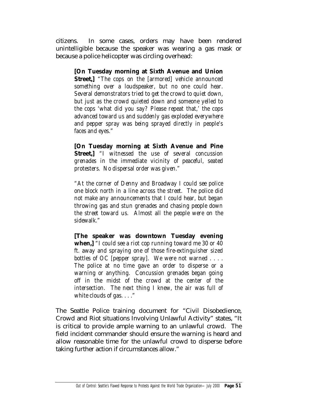citizens. In some cases, orders may have been rendered unintelligible because the speaker was wearing a gas mask or because a police helicopter was circling overhead:

**[On Tuesday morning at Sixth Avenue and Union Street,]** *"The cops on the [armored] vehicle announced something over a loudspeaker, but no one could hear. Several demonstrators tried to get the crowd to quiet down, but just as the crowd quieted down and someone yelled to the cops 'what did you say? Please repeat that,' the cops advanced toward us and suddenly gas exploded everywhere and pepper spray was being sprayed directly in people's faces and eyes."* 

**[On Tuesday morning at Sixth Avenue and Pine Street,]** *"I witnessed the use of several concussion grenades in the immediate vicinity of peaceful, seated protesters. No dispersal order was given."* 

*"At the corner of Denny and Broadway I could see police one block north in a line across the street. The police did not make any announcements that I could hear, but began throwing gas and stun grenades and chasing people down the street toward us. Almost all the people were on the sidewalk."* 

**[The speaker was downtown Tuesday evening when,]** *"I could see a riot cop running toward me 30 or 40 ft. away and spraying one of those fire-extinguisher sized bottles of OC [pepper spray]. We were not warned . . . . The police at no time gave an order to disperse or a warning or anything. Concussion grenades began going off in the midst of the crowd at the center of the intersection. The next thing I knew, the air was full of white clouds of gas. . . ."* 

The Seattle Police training document for "Civil Disobedience, Crowd and Riot situations Involving Unlawful Activity" states, "It is critical to provide ample warning to an unlawful crowd. The field incident commander should ensure the warning is heard and allow reasonable time for the unlawful crowd to disperse before taking further action if circumstances allow."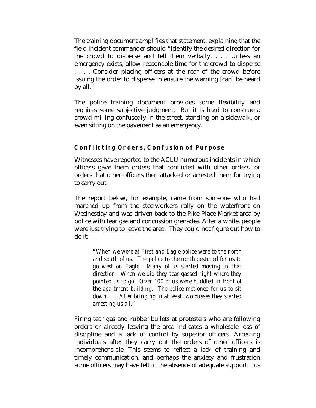The training document amplifies that statement, explaining that the field incident commander should "identify the desired direction for the crowd to disperse and tell them verbally. . . . Unless an emergency exists, allow reasonable time for the crowd to disperse . . . . Consider placing officers at the rear of the crowd before issuing the order to disperse to ensure the warning [can] be heard by all."

The police training document provides some flexibility and requires some subjective judgment. But it is hard to construe a crowd milling confusedly in the street, standing on a sidewalk, or even sitting on the pavement as an emergency.

## **Conflicting Orders, Confusion of Purpose**

Witnesses have reported to the ACLU numerous incidents in which officers gave them orders that conflicted with other orders, or orders that other officers then attacked or arrested them for trying to carry out.

The report below, for example, came from someone who had marched up from the steelworkers rally on the waterfront on Wednesday and was driven back to the Pike Place Market area by police with tear gas and concussion grenades. After a while, people were just trying to leave the area. They could not figure out how to do it:

*"When we were at First and Eagle police were to the north and south of us. The police to the north gestured for us to go west on Eagle. Many of us started moving in that direction. When we did they tear-gassed right where they pointed us to go. Over 100 of us were huddled in front of the apartment building. The police motioned for us to sit down. . . . After bringing in at least two busses they started arresting us all."* 

Firing tear gas and rubber bullets at protesters who are following orders or already leaving the area indicates a wholesale loss of discipline and a lack of control by superior officers. Arresting individuals after they carry out the orders of other officers is incomprehensible. This seems to reflect a lack of training and timely communication, and perhaps the anxiety and frustration some officers may have felt in the absence of adequate support. Los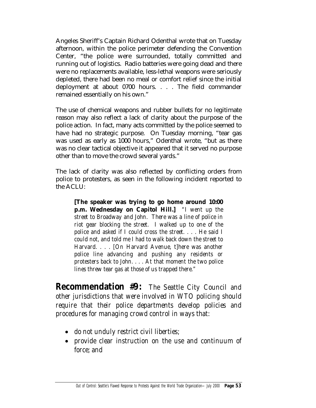Angeles Sheriff's Captain Richard Odenthal wrote that on Tuesday afternoon, within the police perimeter defending the Convention Center, "the police were surrounded, totally committed and running out of logistics. Radio batteries were going dead and there were no replacements available, less-lethal weapons were seriously depleted, there had been no meal or comfort relief since the initial deployment at about 0700 hours. . . . The field commander remained essentially on his own."

The use of chemical weapons and rubber bullets for no legitimate reason may also reflect a lack of clarity about the purpose of the police action. In fact, many acts committed by the police seemed to have had no strategic purpose. On Tuesday morning, "tear gas was used as early as 1000 hours," Odenthal wrote, "but as there was no clear tactical objective it appeared that it served no purpose other than to move the crowd several yards."

The lack of clarity was also reflected by conflicting orders from police to protesters, as seen in the following incident reported to the ACLU:

**[The speaker was trying to go home around 10:00 p.m. Wednesday on Capitol Hill.]** *"I went up the street to Broadway and John. There was a line of police in riot gear blocking the street. I walked up to one of the police and asked if I could cross the street. . . . He said I could not, and told me I had to walk back down the street to Harvard. . . . [On Harvard Avenue, t]here was another police line advancing and pushing any residents or protesters back to John. . . . At that moment the two police lines threw tear gas at those of us trapped there."* 

**Recommendation #9:** *The Seattle City Council and other jurisdictions that were involved in WTO policing should require that their police departments develop policies and procedures for managing crowd control in ways that:* 

- *do not unduly restrict civil liberties;*
- *provide clear instruction on the use and continuum of force; and*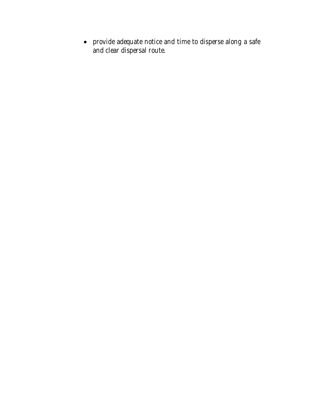• *provide adequate notice and time to disperse along a safe and clear dispersal route.*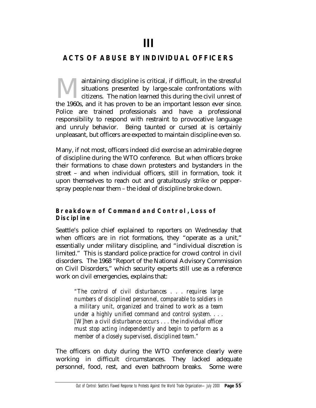# **III**

# **ACTS OF ABUSE BY INDIVIDUAL OFFICERS**

aintaining discipline is critical, if difficult, in the stressful situations presented by large-scale confrontations with citizens. The nation learned this during the civil unrest of aintaining discipline is critical, if difficult, in the stressful situations presented by large-scale confrontations with citizens. The nation learned this during the civil unrest of the 1960s, and it has proven to be an i Police are trained professionals and have a professional responsibility to respond with restraint to provocative language and unruly behavior. Being taunted or cursed at is certainly unpleasant, but officers are expected to maintain discipline even so.

Many, if not most, officers indeed did exercise an admirable degree of discipline during the WTO conference. But when officers broke their formations to chase down protesters and bystanders in the street – and when individual officers, still in formation, took it upon themselves to reach out and gratuitously strike or pepperspray people near them – the ideal of discipline broke down.

## **Breakdown of Command and Control, Loss of Discipline**

Seattle's police chief explained to reporters on Wednesday that when officers are in riot formations, they "operate as a unit," essentially under military discipline, and "individual discretion is limited." This is standard police practice for crowd control in civil disorders. The 1968 "Report of the National Advisory Commission on Civil Disorders," which security experts still use as a reference work on civil emergencies, explains that:

*"The control of civil disturbances . . . requires large numbers of disciplined personnel, comparable to soldiers in a military unit, organized and trained to work as a team under a highly unified command and control system. . . . [W]hen a civil disturbance occurs . . . the individual officer must stop acting independently and begin to perform as a member of a closely supervised, disciplined team."* 

The officers on duty during the WTO conference clearly were working in difficult circumstances. They lacked adequate personnel, food, rest, and even bathroom breaks. Some were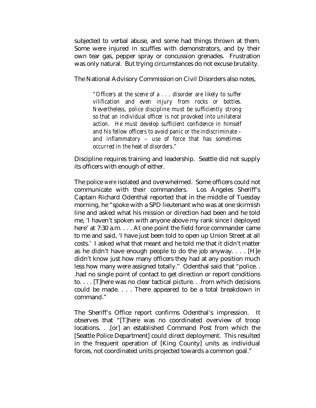subjected to verbal abuse, and some had things thrown at them. Some were injured in scuffles with demonstrators, and by their own tear gas, pepper spray or concussion grenades. Frustration was only natural. But trying circumstances do not excuse brutality.

The National Advisory Commission on Civil Disorders also notes,

*"Officers at the scene of a . . . disorder are likely to suffer vilification and even injury from rocks or bottles. Nevertheless, police discipline must be sufficiently strong so that an individual officer is not provoked into unilateral action. He must develop sufficient confidence in himself and his fellow officers to avoid panic or the indiscriminate – and inflammatory – use of force that has sometimes occurred in the heat of disorders."* 

Discipline requires training and leadership. Seattle did not supply its officers with enough of either.

The police *were* isolated and overwhelmed. Some officers could not communicate with their commanders. Los Angeles Sheriff's Captain Richard Odenthal reported that in the middle of Tuesday morning, he "spoke with a SPD lieutenant who was at one skirmish line and asked what his mission or direction had been and he told me, 'I haven't spoken with anyone above my rank since I deployed here' at 7:30 a.m. . . . At one point the field force commander came to me and said, 'I have just been told to open up Union Street at all costs.' I asked what that meant and he told me that it didn't matter as he didn't have enough people to do the job anyway. . . . [H]e didn't know just how many officers they had at any position much less how many were assigned totally." Odenthal said that "police. . .had no single point of contact to get direction or report conditions to. . . . [T]here was no clear tactical picture. . .from which decisions could be made. . . . There appeared to be a total breakdown in command."

The Sheriff's Office report confirms Odenthal's impression. It observes that "[T]here was no coordinated overview of troop locations. . .[or] an established Command Post from which the [Seattle Police Department] could direct deployment. This resulted in the frequent operation of [King County] units as individual forces, not coordinated units projected towards a common goal."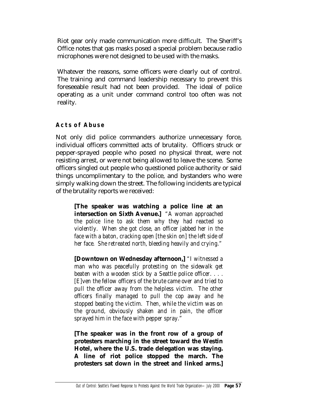Riot gear only made communication more difficult. The Sheriff's Office notes that gas masks posed a special problem because radio microphones were not designed to be used with the masks.

Whatever the reasons, some officers were clearly out of control. The training and command leadership necessary to prevent this foreseeable result had not been provided. The ideal of police operating as a unit under command control too often was not reality.

## **Acts of Abuse**

Not only did police commanders authorize unnecessary force, individual officers committed acts of brutality. Officers struck or pepper-sprayed people who posed no physical threat, were not resisting arrest, or were not being allowed to leave the scene. Some officers singled out people who questioned police authority or said things uncomplimentary to the police, and bystanders who were simply walking down the street. The following incidents are typical of the brutality reports we received:

**[The speaker was watching a police line at an intersection on Sixth Avenue.]** *"A woman approached the police line to ask them why they had reacted so violently. When she got close, an officer jabbed her in the face with a baton, cracking open [the skin on] the left side of her face. She retreated north, bleeding heavily and crying."* 

**[Downtown on Wednesday afternoon,]** *"I witnessed a man who was peacefully protesting on the sidewalk get beaten with a wooden stick by a Seattle police officer. . . . [E]ven the fellow officers of the brute came over and tried to pull the officer away from the helpless victim. The other officers finally managed to pull the cop away and he stopped beating the victim. Then, while the victim was on the ground, obviously shaken and in pain, the officer sprayed him in the face with pepper spray."* 

**[The speaker was in the front row of a group of protesters marching in the street toward the Westin Hotel, where the U.S. trade delegation was staying. A line of riot police stopped the march. The protesters sat down in the street and linked arms.]**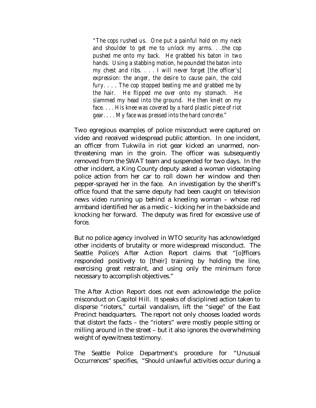*"The cops rushed us. One put a painful hold on my neck and shoulder to get me to unlock my arms. . .the cop pushed me onto my back. He grabbed his baton in two hands. Using a stabbing motion, he pounded the baton into my chest and ribs. . . . I will never forget [the officer's] expression: the anger, the desire to cause pain, the cold fury. . . . The cop stopped beating me and grabbed me by the hair. He flipped me over onto my stomach. He slammed my head into the ground. He then knelt on my face. . . . His knee was covered by a hard plastic piece of riot gear. . . . My face was pressed into the hard concrete."* 

Two egregious examples of police misconduct were captured on video and received widespread public attention. In one incident, an officer from Tukwila in riot gear kicked an unarmed, nonthreatening man in the groin. The officer was subsequently removed from the SWAT team and suspended for two days. In the other incident, a King County deputy asked a woman videotaping police action from her car to roll down her window and then pepper-sprayed her in the face. An investigation by the sheriff's office found that the same deputy had been caught on television news video running up behind a kneeling woman – whose red armband identified her as a medic – kicking her in the backside and knocking her forward. The deputy was fired for excessive use of force.

But no police agency involved in WTO security has acknowledged other incidents of brutality or more widespread misconduct. The Seattle Police's After Action Report claims that "[o]fficers responded positively to [their] training by holding the line, exercising great restraint, and using only the minimum force necessary to accomplish objectives."

The After Action Report does not even acknowledge the police misconduct on Capitol Hill. It speaks of disciplined action taken to disperse "rioters," curtail vandalism, lift the "siege" of the East Precinct headquarters. The report not only chooses loaded words that distort the facts – the "rioters" were mostly people sitting or milling around in the street – but it also ignores the overwhelming weight of eyewitness testimony.

The Seattle Police Department's procedure for "Unusual Occurrences" specifies, "Should unlawful activities occur during a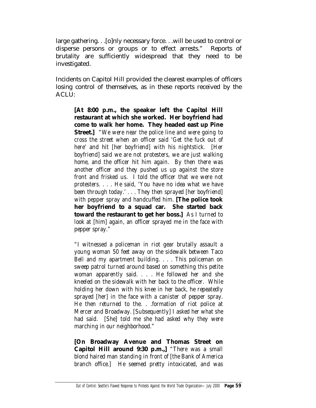large gathering. . .[o]nly necessary force. . .will be used to control or disperse persons or groups or to effect arrests." Reports of brutality are sufficiently widespread that they need to be investigated.

Incidents on Capitol Hill provided the clearest examples of officers losing control of themselves, as in these reports received by the ACLU:

**[At 8:00 p.m., the speaker left the Capitol Hill restaurant at which she worked. Her boyfriend had come to walk her home. They headed east up Pine Street.]** *"We were near the police line and were going to cross the street when an officer said 'Get the fuck out of here' and hit [her boyfriend] with his nightstick. [Her boyfriend] said we are not protesters, we are just walking home, and the officer hit him again. By then there was another officer and they pushed us up against the store front and frisked us. I told the officer that we were not protesters. . . . He said, 'You have no idea what we have been through today.' . . . They then sprayed [her boyfriend] with pepper spray and handcuffed him.* **[The police took her boyfriend to a squad car. She started back toward the restaurant to get her boss.]** *As I turned to look at [him] again, an officer sprayed me in the face with pepper spray."* 

*"I witnessed a policeman in riot gear brutally assault a young woman 50 feet away on the sidewalk between Taco Bell and my apartment building. . . . This policeman on sweep patrol turned around based on something this petite woman apparently said. . . . He followed her and she kneeled on the sidewalk with her back to the officer. While holding her down with his knee in her back, he repeatedly sprayed [her] in the face with a canister of pepper spray. He then returned to the. . .formation of riot police at Mercer and Broadway. [Subsequently] I asked her what she had said. [She] told me she had asked why they were marching in our neighborhood."* 

**[On Broadway Avenue and Thomas Street on Capitol Hill around 9:30 p.m.,]** *"There was a small blond haired man standing in front of [the Bank of America branch office.] He seemed pretty intoxicated, and was*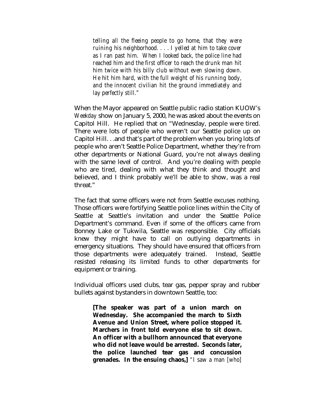*telling all the fleeing people to go home, that they were ruining his neighborhood. . . . I yelled at him to take cover as I ran past him. When I looked back, the police line had reached him and the first officer to reach the drunk man hit him twice with his billy club without even slowing down. He hit him hard, with the full weight of his running body, and the innocent civilian hit the ground immediately and lay perfectly still."* 

When the Mayor appeared on Seattle public radio station KUOW's *Weekday* show on January 5, 2000, he was asked about the events on Capitol Hill. He replied that on "Wednesday, people were tired. There were lots of people who weren't our Seattle police up on Capitol Hill. . .and that's part of the problem when you bring lots of people who aren't Seattle Police Department, whether they're from other departments or National Guard, you're not always dealing with the same level of control. And you're dealing with people who are tired, dealing with what they think and thought and believed, and I think probably we'll be able to show, was a real threat."

The fact that some officers were not from Seattle excuses nothing. Those officers were fortifying Seattle police lines within the City of Seattle at Seattle's invitation and under the Seattle Police Department's command. Even if some of the officers came from Bonney Lake or Tukwila, Seattle was responsible. City officials knew they might have to call on outlying departments in emergency situations. They should have ensured that officers from those departments were adequately trained. Instead, Seattle resisted releasing its limited funds to other departments for equipment or training.

Individual officers used clubs, tear gas, pepper spray and rubber bullets against bystanders in downtown Seattle, too:

**[The speaker was part of a union march on Wednesday. She accompanied the march to Sixth Avenue and Union Street, where police stopped it. Marchers in front told everyone else to sit down. An officer with a bullhorn announced that everyone who did not leave would be arrested. Seconds later, the police launched tear gas and concussion grenades. In the ensuing chaos,]** *"I saw a man [who]*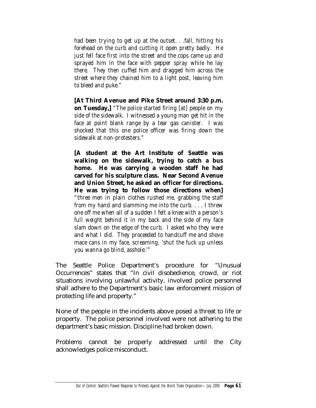*had been trying to get up at the outset. . .fall, hitting his forehead on the curb and cutting it open pretty badly. He just fell face first into the street and the cops came up and sprayed him in the face with pepper spray while he lay there. They then cuffed him and dragged him across the street where they chained him to a light post, leaving him to bleed and puke."* 

**[At Third Avenue and Pike Street around 3:30 p.m. on Tuesday,]** *"The police started firing [at] people on my side of the sidewalk. I witnessed a young man get hit in the face at point blank range by a tear gas canister. I was shocked that this one police officer was firing down the sidewalk at non-protesters."* 

**[A student at the Art Institute of Seattle was walking on the sidewalk, trying to catch a bus home. He was carrying a wooden staff he had carved for his sculpture class. Near Second Avenue and Union Street, he asked an officer for directions. He was trying to follow those directions when]** *"three men in plain clothes rushed me, grabbing the staff from my hand and slamming me into the curb. . . . I threw one off me when all of a sudden I felt a knee with a person's full weight behind it in my back and the side of my face slam down on the edge of the curb. I asked who they were and what I did. They proceeded to handcuff me and shove mace cans in my face, screaming, 'shut the fuck up unless you wanna go blind, asshole.'"* 

The Seattle Police Department's procedure for "Unusual Occurrences" states that "In civil disobedience, crowd, or riot situations involving unlawful activity, involved police personnel shall adhere to the Department's basic law enforcement mission of protecting life and property."

None of the people in the incidents above posed a threat to life or property. The police personnel involved were not adhering to the department's basic mission. Discipline had broken down.

Problems cannot be properly addressed until the City acknowledges police misconduct.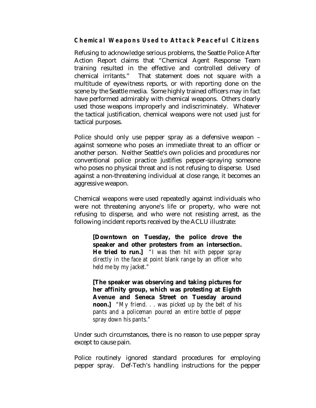**Chemical Weapons Used to Attack Peaceful Citizens** 

Refusing to acknowledge serious problems, the Seattle Police After Action Report claims that "Chemical Agent Response Team training resulted in the effective and controlled delivery of chemical irritants." That statement does not square with a multitude of eyewitness reports, or with reporting done on the scene by the Seattle media. Some highly trained officers may in fact have performed admirably with chemical weapons. Others clearly used those weapons improperly and indiscriminately. Whatever the tactical justification, chemical weapons were not used just for tactical purposes.

Police should only use pepper spray as a defensive weapon – against someone who poses an immediate threat to an officer or another person. Neither Seattle's own policies and procedures nor conventional police practice justifies pepper-spraying someone who poses no physical threat and is not refusing to disperse. Used against a non-threatening individual at close range, it becomes an aggressive weapon.

Chemical weapons were used repeatedly against individuals who were not threatening anyone's life or property, who were not refusing to disperse, and who were not resisting arrest, as the following incident reports received by the ACLU illustrate:

**[Downtown on Tuesday, the police drove the speaker and other protesters from an intersection. He tried to run.]** *"I was then hit with pepper spray directly in the face at point blank range by an officer who held me by my jacket."*

**[The speaker was observing and taking pictures for her affinity group, which was protesting at Eighth Avenue and Seneca Street on Tuesday around noon.]** *"My friend. . . was picked up by the belt of his pants and a policeman poured an entire bottle of pepper spray down his pants."* 

Under such circumstances, there is no reason to use pepper spray except to cause pain.

Police routinely ignored standard procedures for employing pepper spray. Def-Tech's handling instructions for the pepper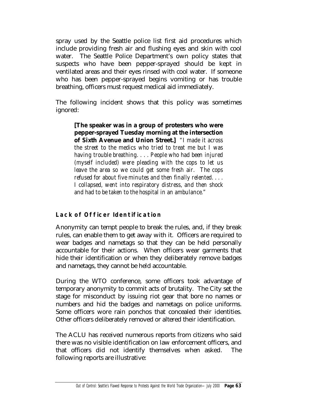spray used by the Seattle police list first aid procedures which include providing fresh air and flushing eyes and skin with cool water. The Seattle Police Department's own policy states that suspects who have been pepper-sprayed should be kept in ventilated areas and their eyes rinsed with cool water. If someone who has been pepper-sprayed begins vomiting or has trouble breathing, officers must request medical aid immediately.

The following incident shows that this policy was sometimes ignored:

**[The speaker was in a group of protesters who were pepper-sprayed Tuesday morning at the intersection of Sixth Avenue and Union Street.]** *"I made it across the street to the medics who tried to treat me but I was having trouble breathing. . . . People who had been injured (myself included) were pleading with the cops to let us leave the area so we could get some fresh air. The cops refused for about five minutes and then finally relented. . . . I collapsed, went into respiratory distress, and then shock and had to be taken to the hospital in an ambulance."* 

## **Lack of Officer Identification**

Anonymity can tempt people to break the rules, and, if they break rules, can enable them to get away with it. Officers are required to wear badges and nametags so that they can be held personally accountable for their actions. When officers wear garments that hide their identification or when they deliberately remove badges and nametags, they cannot be held accountable.

During the WTO conference, some officers took advantage of temporary anonymity to commit acts of brutality. The City set the stage for misconduct by issuing riot gear that bore no names or numbers and hid the badges and nametags on police uniforms. Some officers wore rain ponchos that concealed their identities. Other officers deliberately removed or altered their identification.

The ACLU has received numerous reports from citizens who said there was no visible identification on law enforcement officers, and that officers did not identify themselves when asked. The following reports are illustrative: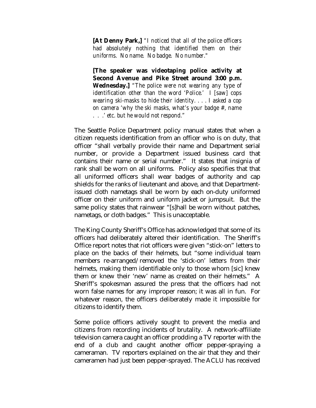**[At Denny Park,]** *"I noticed that all of the police officers had absolutely nothing that identified them on their uniforms. No name. No badge. No number."* 

**[The speaker was videotaping police activity at Second Avenue and Pike Street around 3:00 p.m. Wednesday.]** *"The police were not wearing any type of identification other than the word 'Police.' I [saw] cops wearing ski-masks to hide their identity. . . . I asked a cop on camera 'why the ski masks, what's your badge #, name . . .' etc. but he would not respond."* 

The Seattle Police Department policy manual states that when a citizen requests identification from an officer who is on duty, that officer "shall verbally provide their name and Department serial number, or provide a Department issued business card that contains their name or serial number." It states that insignia of rank shall be worn on all uniforms. Policy also specifies that that all uniformed officers shall wear badges of authority and cap shields for the ranks of lieutenant and above, and that Departmentissued cloth nametags shall be worn by each on-duty uniformed officer on their uniform and uniform jacket or jumpsuit. But the same policy states that rainwear "[s]hall be worn without patches, nametags, or cloth badges." This is unacceptable.

The King County Sheriff's Office has acknowledged that some of its officers had deliberately altered their identification. The Sheriff's Office report notes that riot officers were given "stick-on" letters to place on the backs of their helmets, but "some individual team members re-arranged/removed the 'stick-on' letters from their helmets, making them identifiable only to those whom [sic] knew them or knew their 'new' name as created on their helmets." A Sheriff's spokesman assured the press that the officers had not worn false names for any improper reason; it was all in fun. For whatever reason, the officers deliberately made it impossible for citizens to identify them.

Some police officers actively sought to prevent the media and citizens from recording incidents of brutality. A network-affiliate television camera caught an officer prodding a TV reporter with the end of a club and caught another officer pepper-spraying a cameraman. TV reporters explained on the air that they and their cameramen had just been pepper-sprayed. The ACLU has received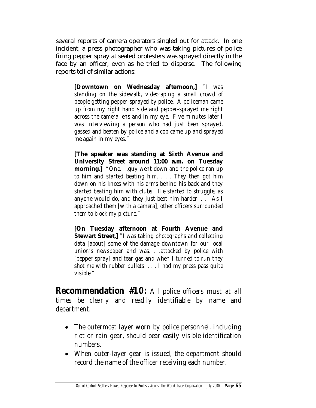several reports of camera operators singled out for attack. In one incident, a press photographer who was taking pictures of police firing pepper spray at seated protesters was sprayed directly in the face by an officer, even as he tried to disperse. The following reports tell of similar actions:

**[Downtown on Wednesday afternoon,]** *"I was standing on the sidewalk, videotaping a small crowd of people getting pepper-sprayed by police. A policeman came up from my right hand side and pepper-sprayed me right across the camera lens and in my eye. Five minutes later I was interviewing a person who had just been sprayed, gassed and beaten by police and a cop came up and sprayed me again in my eyes."* 

**[The speaker was standing at Sixth Avenue and University Street around 11:00 a.m. on Tuesday morning.]** *"One. . .guy went down and the police ran up to him and started beating him. . . . They then got him down on his knees with his arms behind his back and they started beating him with clubs. He started to struggle, as anyone would do, and they just beat him harder. . . . As I approached them [with a camera], other officers surrounded them to block my picture."* 

**[On Tuesday afternoon at Fourth Avenue and Stewart Street,]** *"I was taking photographs and collecting data [about] some of the damage downtown for our local union's newspaper and was. . .attacked by police with [pepper spray] and tear gas and when I turned to run they shot me with rubber bullets. . . . I had my press pass quite visible."* 

**Recommendation #10:** *All police officers must at all times be clearly and readily identifiable by name and department.* 

- *The outermost layer worn by police personnel, including riot or rain gear, should bear easily visible identification numbers.*
- *When outer-layer gear is issued, the department should record the name of the officer receiving each number.*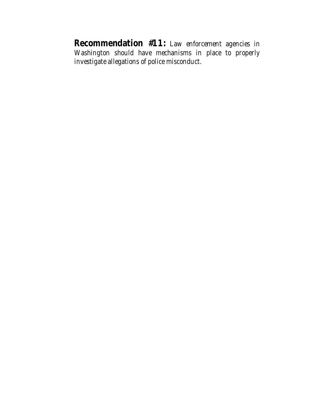**Recommendation #11:** *Law enforcement agencies in Washington should have mechanisms in place to properly investigate allegations of police misconduct.*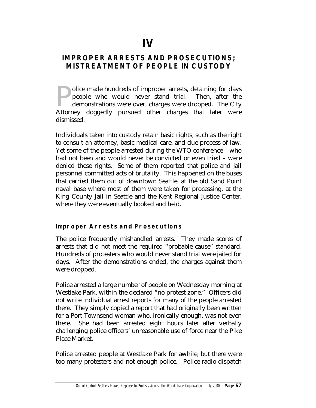# **IMPROPER ARRESTS AND PROSECUTIONS; MISTREATMENT OF PEOPLE IN CUSTODY**

olice made hundreds of improper arrests, detaining for days people who would never stand trial. Then, after the demonstrations were over, charges were dropped. The City Dolice made hundreds of improper arrests, detaining for days<br>people who would never stand trial. Then, after the<br>demonstrations were over, charges were dropped. The City<br>Attorney doggedly pursued other charges that later w dismissed.

Individuals taken into custody retain basic rights, such as the right to consult an attorney, basic medical care, and due process of law. Yet some of the people arrested during the WTO conference – who had not been and would never be convicted or even tried – were denied these rights. Some of them reported that police and jail personnel committed acts of brutality. This happened on the buses that carried them out of downtown Seattle, at the old Sand Point naval base where most of them were taken for processing, at the King County Jail in Seattle and the Kent Regional Justice Center, where they were eventually booked and held.

## **Improper Arrests and Prosecutions**

The police frequently mishandled arrests. They made scores of arrests that did not meet the required "probable cause" standard. Hundreds of protesters who would never stand trial were jailed for days. After the demonstrations ended, the charges against them were dropped.

Police arrested a large number of people on Wednesday morning at Westlake Park, within the declared "no protest zone." Officers did not write individual arrest reports for many of the people arrested there. They simply copied a report that had originally been written for a Port Townsend woman who, ironically enough, was not even there. She had been arrested eight hours later after verbally challenging police officers' unreasonable use of force near the Pike Place Market.

Police arrested people at Westlake Park for awhile, but there were too many protesters and not enough police. Police radio dispatch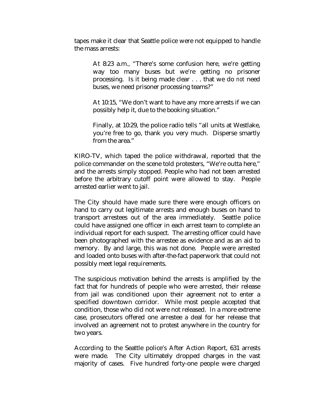tapes make it clear that Seattle police were not equipped to handle the mass arrests:

At 8:23 a.m., "There's some confusion here, we're getting way too many buses but we're getting no prisoner processing. Is it being made clear . . . that we do *not* need buses, we need prisoner processing teams?"

At 10:15, "We don't want to have any more arrests if we can possibly help it, due to the booking situation."

Finally, at 10:29, the police radio tells "all units at Westlake, you're free to go, thank you very much. Disperse smartly from the area."

KIRO-TV, which taped the police withdrawal, reported that the police commander on the scene told protesters, "We're outta here," and the arrests simply stopped. People who had not been arrested before the arbitrary cutoff point were allowed to stay. People arrested earlier went to jail.

The City should have made sure there were enough officers on hand to carry out legitimate arrests and enough buses on hand to transport arrestees out of the area immediately. Seattle police could have assigned one officer in each arrest team to complete an individual report for each suspect. The arresting officer could have been photographed with the arrestee as evidence and as an aid to memory. By and large, this was not done. People were arrested and loaded onto buses with after-the-fact paperwork that could not possibly meet legal requirements.

The suspicious motivation behind the arrests is amplified by the fact that for hundreds of people who were arrested, their release from jail was conditioned upon their agreement not to enter a specified downtown corridor. While most people accepted that condition, those who did not were not released. In a more extreme case, prosecutors offered one arrestee a deal for her release that involved an agreement not to protest anywhere in the country for two years.

According to the Seattle police's After Action Report, 631 arrests were made. The City ultimately dropped charges in the vast majority of cases. Five hundred forty-one people were charged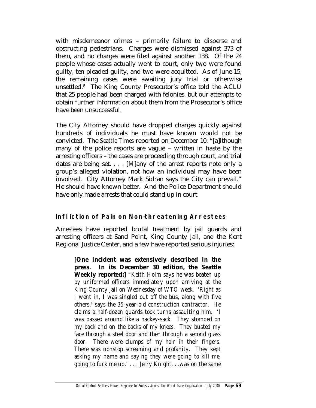with misdemeanor crimes – primarily failure to disperse and obstructing pedestrians. Charges were dismissed against 373 of them, and no charges were filed against another 138. Of the 24 people whose cases actually went to court, only two were found guilty, ten pleaded guilty, and two were acquitted. As of June 15, the remaining cases were awaiting jury trial or otherwise unsettled.6 The King County Prosecutor's office told the ACLU that 25 people had been charged with felonies, but our attempts to obtain further information about them from the Prosecutor's office have been unsuccessful.

The City Attorney should have dropped charges quickly against hundreds of individuals he must have known would not be convicted. The *Seattle Times* reported on December 10: "[a]lthough many of the police reports are vague – written in haste by the arresting officers – the cases are proceeding through court, and trial dates are being set. . . . [M]any of the arrest reports note only a group's alleged violation, not how an individual may have been involved. City Attorney Mark Sidran says the City can prevail." He should have known better. And the Police Department should have only made arrests that could stand up in court.

## **Infliction of Pain on Non-threatening Arrestees**

Arrestees have reported brutal treatment by jail guards and arresting officers at Sand Point, King County Jail, and the Kent Regional Justice Center, and a few have reported serious injuries:

**[One incident was extensively described in the press. In its December 30 edition, the Seattle Weekly reported:]** *"Keith Holm says he was beaten up by uniformed officers immediately upon arriving at the King County jail on Wednesday of WTO week. 'Right as I went in, I was singled out off the bus, along with five others,' says the 35-year-old construction contractor. He claims a half-dozen guards took turns assaulting him. 'I was passed around like a hackey-sack. They stomped on my back and on the backs of my knees. They busted my face through a steel door and then through a second glass door. There were clumps of my hair in their fingers. There was nonstop screaming and profanity. They kept asking my name and saying they were going to kill me, going to fuck me up.' . . . Jerry Knight. . .was on the same*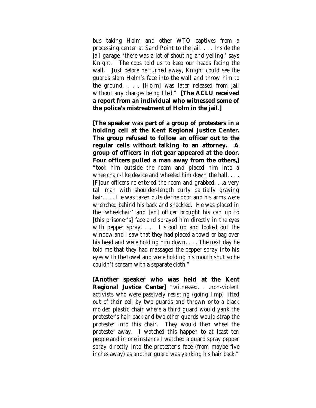*bus taking Holm and other WTO captives from a processing center at Sand Point to the jail. . . . Inside the jail garage, 'there was a lot of shouting and yelling,' says Knight. 'The cops told us to keep our heads facing the wall.' Just before he turned away, Knight could see the guards slam Holm's face into the wall and throw him to the ground. . .* . *[Holm] was later released from jail without any charges being filed."* **[The ACLU received a report from an individual who witnessed some of the police's mistreatment of Holm in the jail.]**

**[The speaker was part of a group of protesters in a holding cell at the Kent Regional Justice Center. The group refused to follow an officer out to the regular cells without talking to an attorney. A group of officers in riot gear appeared at the door. Four officers pulled a man away from the others,]** *"took him outside the room and placed him into a wheelchair-like device and wheeled him down the hall. . . . [F]our officers re-entered the room and grabbed. . .a very tall man with shoulder-length curly partially graying hair. . . . He was taken outside the door and his arms were wrenched behind his back and shackled. He was placed in the 'wheelchair' and [an] officer brought his can up to [this prisoner's] face and sprayed him directly in the eyes with pepper spray. . . . I stood up and looked out the window and I saw that they had placed a towel or bag over his head and were holding him down. . . . The next day he told me that they had massaged the pepper spray into his eyes with the towel and were holding his mouth shut so he couldn't scream with a separate cloth."* 

**[Another speaker who was held at the Kent Regional Justice Center]** *"witnessed. . .non-violent activists who were passively resisting (going limp) lifted out of their cell by two guards and thrown onto a black molded plastic chair where a third guard would yank the protester's hair back and two other guards would strap the protester into this chair. They would then wheel the protester away. I watched this happen to at least ten people and in one instance I watched a guard spray pepper spray directly into the protester's face (from maybe five inches away) as another guard was yanking his hair back."*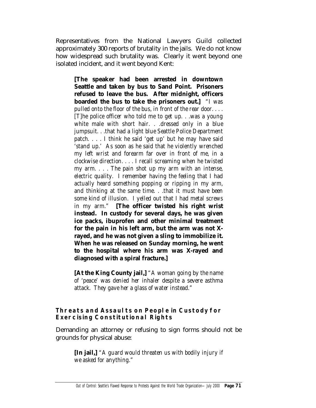Representatives from the National Lawyers Guild collected approximately 300 reports of brutality in the jails. We do not know how widespread such brutality was. Clearly it went beyond one isolated incident, and it went beyond Kent:

**[The speaker had been arrested in downtown Seattle and taken by bus to Sand Point. Prisoners refused to leave the bus. After midnight, officers boarded the bus to take the prisoners out.]** *"I was pulled onto the floor of the bus, in front of the rear door. . . . [T]he police officer who told me to get up. . .was a young white male with short hair. . .dressed only in a blue jumpsuit. . .that had a light blue Seattle Police Department patch. . . . I think he said 'get up' but he may have said 'stand up.' As soon as he said that he violently wrenched my left wrist and forearm far over in front of me, in a clockwise direction. . . . I recall screaming when he twisted my arm. . . . The pain shot up my arm with an intense, electric quality. I remember having the feeling that I had actually heard something popping or ripping in my arm, and thinking at the same time. . .that it must have been some kind of illusion. I yelled out that I had metal screws in my arm."* **[The officer twisted his right wrist instead. In custody for several days, he was given ice packs, ibuprofen and other minimal treatment for the pain in his left arm, but the arm was not Xrayed, and he was not given a sling to immobilize it. When he was released on Sunday morning, he went to the hospital where his arm was X-rayed and diagnosed with a spiral fracture.]** 

**[At the King County jail,]** *"A woman going by the name of 'peace' was denied her inhaler despite a severe asthma attack. They gave her a glass of water instead."* 

## **Threats and Assaults on People in Custody for Exercising Constitutional Rights**

Demanding an attorney or refusing to sign forms should not be grounds for physical abuse:

**[In jail,]** *"A guard would threaten us with bodily injury if we asked for anything."*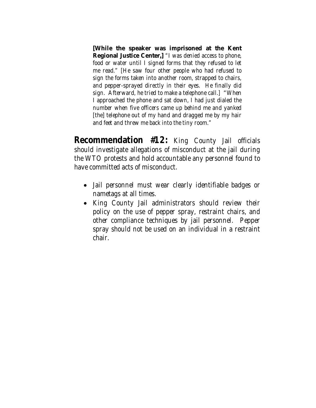**[While the speaker was imprisoned at the Kent Regional Justice Center,]** *"I was denied access to phone, food or water until I signed forms that they refused to let me read." [He saw four other people who had refused to sign the forms taken into another room, strapped to chairs, and pepper-sprayed directly in their eyes. He finally did sign. Afterward, he tried to make a telephone call.] "When I approached the phone and sat down, I had just dialed the number when five officers came up behind me and yanked [the] telephone out of my hand and dragged me by my hair and feet and threw me back into the tiny room."* 

**Recommendation #12:** *King County Jail officials should investigate allegations of misconduct at the jail during the WTO protests and hold accountable any personnel found to have committed acts of misconduct.* 

- *Jail personnel must wear clearly identifiable badges or nametags at all times.*
- *King County Jail administrators should review their policy on the use of pepper spray, restraint chairs, and other compliance techniques by jail personnel. Pepper spray should not be used on an individual in a restraint chair.*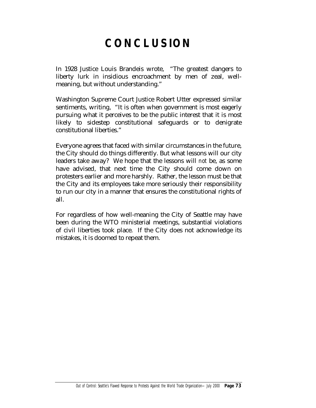## **CONCLUSION**

In 1928 Justice Louis Brandeis wrote, "The greatest dangers to liberty lurk in insidious encroachment by men of zeal, wellmeaning, but without understanding."

Washington Supreme Court Justice Robert Utter expressed similar sentiments, writing, "It is often when government is most eagerly pursuing what it perceives to be the public interest that it is most likely to sidestep constitutional safeguards or to denigrate constitutional liberties."

Everyone agrees that faced with similar circumstances in the future, the City should do things differently. But what lessons will our city leaders take away? We hope that the lessons will *not* be, as some have advised, that next time the City should come down on protesters earlier and more harshly. Rather, the lesson must be that the City and its employees take more seriously their responsibility to run our city in a manner that ensures the constitutional rights of all.

For regardless of how well-meaning the City of Seattle may have been during the WTO ministerial meetings, substantial violations of civil liberties took place. If the City does not acknowledge its mistakes, it is doomed to repeat them.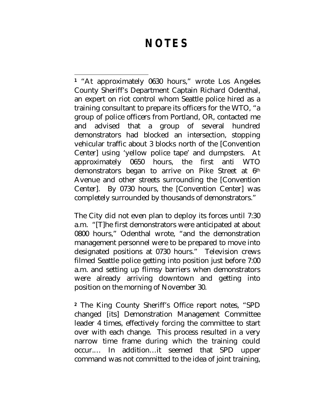## **NOTES**

 $\overline{a}$ **<sup>1</sup>** "At approximately 0630 hours," wrote Los Angeles County Sheriff's Department Captain Richard Odenthal, an expert on riot control whom Seattle police hired as a training consultant to prepare its officers for the WTO, "a group of police officers from Portland, OR, contacted me and advised that a group of several hundred demonstrators had blocked an intersection, stopping vehicular traffic about 3 blocks north of the [Convention Center] using 'yellow police tape' and dumpsters. At approximately 0650 hours, the first anti WTO demonstrators began to arrive on Pike Street at 6<sup>th</sup> Avenue and other streets surrounding the [Convention Center]. By 0730 hours, the [Convention Center] was completely surrounded by thousands of demonstrators."

The City did not even plan to deploy its forces until 7:30 a.m. "[T]he first demonstrators were anticipated at about 0800 hours," Odenthal wrote, "and the demonstration management personnel were to be prepared to move into designated positions at 0730 hours." Television crews filmed Seattle police getting into position just before 7:00 a.m. and setting up flimsy barriers when demonstrators were already arriving downtown and getting into position on the morning of November 30.

**<sup>2</sup>** The King County Sheriff's Office report notes, "SPD changed [its] Demonstration Management Committee leader 4 times, effectively forcing the committee to start over with each change. This process resulted in a very narrow time frame during which the training could occur.… In addition…it seemed that SPD upper command was not committed to the idea of joint training,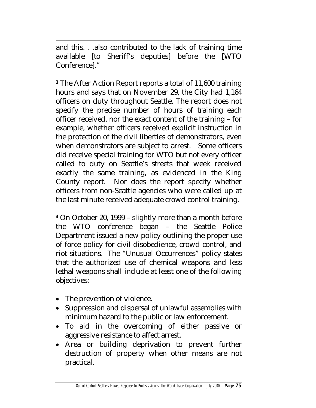$\overline{a}$ and this. . .also contributed to the lack of training time available [to Sheriff's deputies] before the [WTO Conference]."

**<sup>3</sup>** The After Action Report reports a total of 11,600 training hours and says that on November 29, the City had 1,164 officers on duty throughout Seattle. The report does not specify the precise number of hours of training each officer received, nor the exact content of the training – for example, whether officers received explicit instruction in the protection of the civil liberties of demonstrators, even when demonstrators are subject to arrest. Some officers did receive special training for WTO but not every officer called to duty on Seattle's streets that week received exactly the same training, as evidenced in the King County report. Nor does the report specify whether officers from non-Seattle agencies who were called up at the last minute received adequate crowd control training.

**<sup>4</sup>** On October 20, 1999 – slightly more than a month before the WTO conference began – the Seattle Police Department issued a new policy outlining the proper use of force policy for civil disobedience, crowd control, and riot situations. The "Unusual Occurrences" policy states that the authorized use of chemical weapons and less lethal weapons shall include at least one of the following objectives:

- The prevention of violence.
- Suppression and dispersal of unlawful assemblies with minimum hazard to the public or law enforcement.
- To aid in the overcoming of either passive or aggressive resistance to affect arrest.
- Area or building deprivation to prevent further destruction of property when other means are not practical.